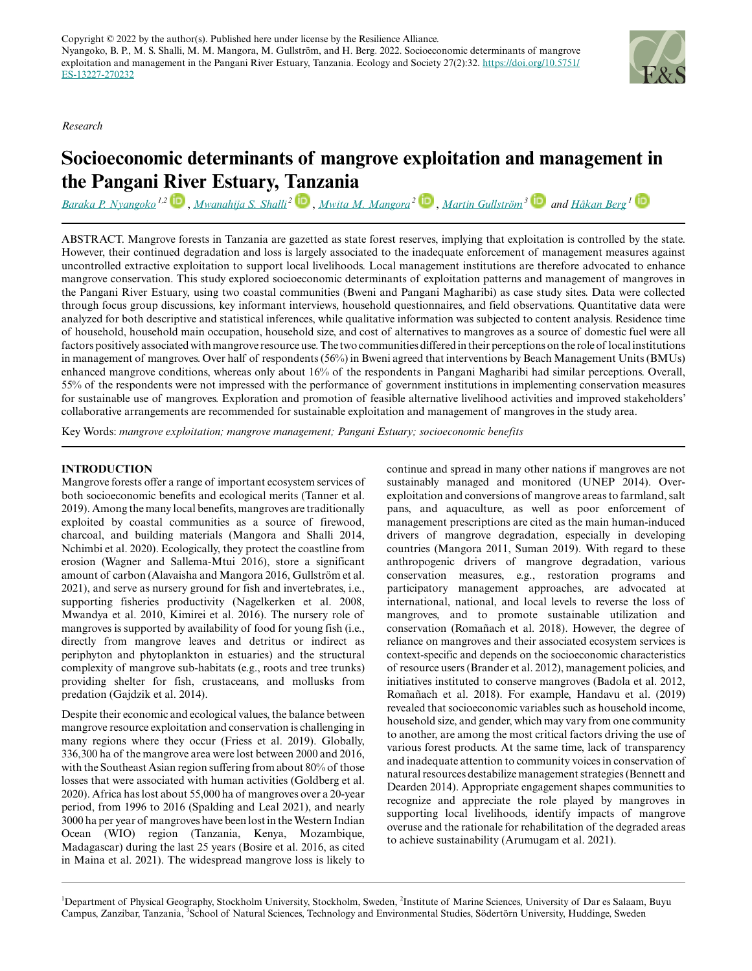*Research*

# **Socioeconomic determinants of mangrove exploitation and management in the Pangani [Riv](https://orcid.org/0000-0003-3341-638X)er Estuary, [Tan](https://orcid.org/0000-0002-2385-8048)zania**

*[Baraka P. Nyangoko](mailto:baraka.nyangoko@natgeo.su.se) 1,2* , *[Mwanahija S. Shalli](mailto:mshalli2012@yahoo.com)<sup>2</sup>* , *[Mwita M. Mangora](mailto:mmangora@yahoo.com)<sup>2</sup>*  [,](https://orcid.org/0000-0002-9504-2718) *[Martin Gullström](mailto:martin.gullstrom@sh.se) [3](https://orcid.org/0000-0002-7552-2431) and [Håkan Berg](mailto:hakan.berg@natgeo.su.se) [1](https://orcid.org/0000-0003-3260-9710)*

ABSTRACT. Mangrove forests in Tanzania are gazetted as state forest reserves, implying that exploitation is controlled by the state. However, their continued degradation and loss is largely associated to the inadequate enforcement of management measures against uncontrolled extractive exploitation to support local livelihoods. Local management institutions are therefore advocated to enhance mangrove conservation. This study explored socioeconomic determinants of exploitation patterns and management of mangroves in the Pangani River Estuary, using two coastal communities (Bweni and Pangani Magharibi) as case study sites. Data were collected through focus group discussions, key informant interviews, household questionnaires, and field observations. Quantitative data were analyzed for both descriptive and statistical inferences, while qualitative information was subjected to content analysis. Residence time of household, household main occupation, household size, and cost of alternatives to mangroves as a source of domestic fuel were all factors positively associated with mangrove resource use. The two communities differed in their perceptions on the role of local institutions in management of mangroves. Over half of respondents (56%) in Bweni agreed that interventions by Beach Management Units (BMUs) enhanced mangrove conditions, whereas only about 16% of the respondents in Pangani Magharibi had similar perceptions. Overall, 55% of the respondents were not impressed with the performance of government institutions in implementing conservation measures for sustainable use of mangroves. Exploration and promotion of feasible alternative livelihood activities and improved stakeholders' collaborative arrangements are recommended for sustainable exploitation and management of mangroves in the study area.

Key Words: *mangrove exploitation; mangrove management; Pangani Estuary; socioeconomic benefits*

# **INTRODUCTION**

Mangrove forests offer a range of important ecosystem services of both socioeconomic benefits and ecological merits (Tanner et al. 2019). Among the many local benefits, mangroves are traditionally exploited by coastal communities as a source of firewood, charcoal, and building materials (Mangora and Shalli 2014, Nchimbi et al. 2020). Ecologically, they protect the coastline from erosion (Wagner and Sallema-Mtui 2016), store a significant amount of carbon (Alavaisha and Mangora 2016, Gullström et al. 2021), and serve as nursery ground for fish and invertebrates, i.e., supporting fisheries productivity (Nagelkerken et al. 2008, Mwandya et al. 2010, Kimirei et al. 2016). The nursery role of mangroves is supported by availability of food for young fish (i.e., directly from mangrove leaves and detritus or indirect as periphyton and phytoplankton in estuaries) and the structural complexity of mangrove sub-habitats (e.g., roots and tree trunks) providing shelter for fish, crustaceans, and mollusks from predation (Gajdzik et al. 2014).

Despite their economic and ecological values, the balance between mangrove resource exploitation and conservation is challenging in many regions where they occur (Friess et al. 2019). Globally, 336,300 ha of the mangrove area were lost between 2000 and 2016, with the Southeast Asian region suffering from about 80% of those losses that were associated with human activities (Goldberg et al. 2020). Africa has lost about 55,000 ha of mangroves over a 20-year period, from 1996 to 2016 (Spalding and Leal 2021), and nearly 3000 ha per year of mangroves have been lost in the Western Indian Ocean (WIO) region (Tanzania, Kenya, Mozambique, Madagascar) during the last 25 years (Bosire et al. 2016, as cited in Maina et al. 2021). The widespread mangrove loss is likely to

continue and spread in many other nations if mangroves are not sustainably managed and monitored (UNEP 2014). Overexploitation and conversions of mangrove areas to farmland, salt pans, and aquaculture, as well as poor enforcement of management prescriptions are cited as the main human-induced drivers of mangrove degradation, especially in developing countries (Mangora 2011, Suman 2019). With regard to these anthropogenic drivers of mangrove degradation, various conservation measures, e.g., restoration programs and participatory management approaches, are advocated at international, national, and local levels to reverse the loss of mangroves, and to promote sustainable utilization and conservation (Romañach et al. 2018). However, the degree of reliance on mangroves and their associated ecosystem services is context-specific and depends on the socioeconomic characteristics of resource users (Brander et al. 2012), management policies, and initiatives instituted to conserve mangroves (Badola et al. 2012, Romañach et al. 2018). For example, Handavu et al. (2019) revealed that socioeconomic variables such as household income, household size, and gender, which may vary from one community to another, are among the most critical factors driving the use of various forest products. At the same time, lack of transparency and inadequate attention to community voices in conservation of natural resources destabilize management strategies (Bennett and Dearden 2014). Appropriate engagement shapes communities to recognize and appreciate the role played by mangroves in supporting local livelihoods, identify impacts of mangrove overuse and the rationale for rehabilitation of the degraded areas to achieve sustainability (Arumugam et al. 2021).

<sup>1</sup>Department of Physical Geography, Stockholm University, Stockholm, Sweden, <sup>2</sup>Institute of Marine Sciences, University of Dar es Salaam, Buyu Campus, Zanzibar, Tanzania, <sup>3</sup>School of Natural Sciences, Technology and Environmental Studies, Södertörn University, Huddinge, Sweden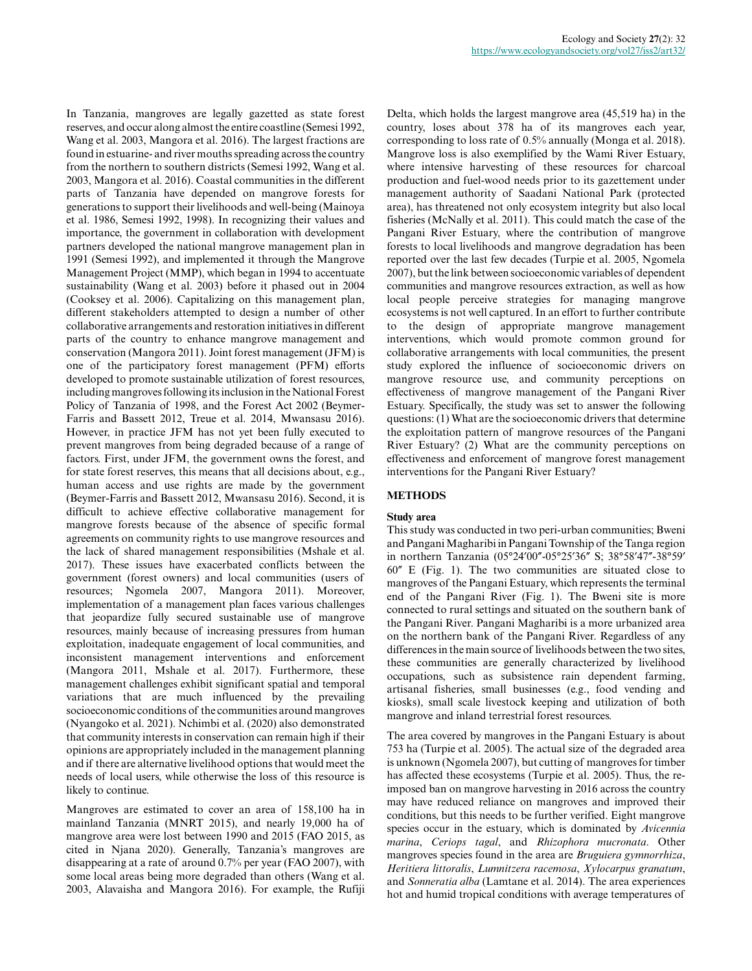In Tanzania, mangroves are legally gazetted as state forest reserves, and occur along almost the entire coastline (Semesi 1992, Wang et al. 2003, Mangora et al. 2016). The largest fractions are found in estuarine- and river mouths spreading across the country from the northern to southern districts (Semesi 1992, Wang et al. 2003, Mangora et al. 2016). Coastal communities in the different parts of Tanzania have depended on mangrove forests for generations to support their livelihoods and well-being (Mainoya et al. 1986, Semesi 1992, 1998). In recognizing their values and importance, the government in collaboration with development partners developed the national mangrove management plan in 1991 (Semesi 1992), and implemented it through the Mangrove Management Project (MMP), which began in 1994 to accentuate sustainability (Wang et al. 2003) before it phased out in 2004 (Cooksey et al. 2006). Capitalizing on this management plan, different stakeholders attempted to design a number of other collaborative arrangements and restoration initiatives in different parts of the country to enhance mangrove management and conservation (Mangora 2011). Joint forest management (JFM) is one of the participatory forest management (PFM) efforts developed to promote sustainable utilization of forest resources, including mangroves following its inclusion in the National Forest Policy of Tanzania of 1998, and the Forest Act 2002 (Beymer-Farris and Bassett 2012, Treue et al. 2014, Mwansasu 2016). However, in practice JFM has not yet been fully executed to prevent mangroves from being degraded because of a range of factors. First, under JFM, the government owns the forest, and for state forest reserves, this means that all decisions about, e.g., human access and use rights are made by the government (Beymer-Farris and Bassett 2012, Mwansasu 2016). Second, it is difficult to achieve effective collaborative management for mangrove forests because of the absence of specific formal agreements on community rights to use mangrove resources and the lack of shared management responsibilities (Mshale et al. 2017). These issues have exacerbated conflicts between the government (forest owners) and local communities (users of resources; Ngomela 2007, Mangora 2011). Moreover, implementation of a management plan faces various challenges that jeopardize fully secured sustainable use of mangrove resources, mainly because of increasing pressures from human exploitation, inadequate engagement of local communities, and inconsistent management interventions and enforcement (Mangora 2011, Mshale et al. 2017). Furthermore, these management challenges exhibit significant spatial and temporal variations that are much influenced by the prevailing socioeconomic conditions of the communities around mangroves (Nyangoko et al. 2021). Nchimbi et al. (2020) also demonstrated that community interests in conservation can remain high if their opinions are appropriately included in the management planning and if there are alternative livelihood options that would meet the needs of local users, while otherwise the loss of this resource is likely to continue.

Mangroves are estimated to cover an area of 158,100 ha in mainland Tanzania (MNRT 2015), and nearly 19,000 ha of mangrove area were lost between 1990 and 2015 (FAO 2015, as cited in Njana 2020). Generally, Tanzania's mangroves are disappearing at a rate of around 0.7% per year (FAO 2007), with some local areas being more degraded than others (Wang et al. 2003, Alavaisha and Mangora 2016). For example, the Rufiji Delta, which holds the largest mangrove area (45,519 ha) in the country, loses about 378 ha of its mangroves each year, corresponding to loss rate of 0.5% annually (Monga et al. 2018). Mangrove loss is also exemplified by the Wami River Estuary, where intensive harvesting of these resources for charcoal production and fuel-wood needs prior to its gazettement under management authority of Saadani National Park (protected area), has threatened not only ecosystem integrity but also local fisheries (McNally et al. 2011). This could match the case of the Pangani River Estuary, where the contribution of mangrove forests to local livelihoods and mangrove degradation has been reported over the last few decades (Turpie et al. 2005, Ngomela 2007), but the link between socioeconomic variables of dependent communities and mangrove resources extraction, as well as how local people perceive strategies for managing mangrove ecosystems is not well captured. In an effort to further contribute to the design of appropriate mangrove management interventions, which would promote common ground for collaborative arrangements with local communities, the present study explored the influence of socioeconomic drivers on mangrove resource use, and community perceptions on effectiveness of mangrove management of the Pangani River Estuary. Specifically, the study was set to answer the following questions: (1) What are the socioeconomic drivers that determine the exploitation pattern of mangrove resources of the Pangani River Estuary? (2) What are the community perceptions on effectiveness and enforcement of mangrove forest management interventions for the Pangani River Estuary?

# **METHODS**

# **Study area**

This study was conducted in two peri-urban communities; Bweni and Pangani Magharibi in Pangani Township of the Tanga region in northern Tanzania (05°24′00″-05°25′36″ S; 38°58′47″-38°59′ 60″ E (Fig. 1). The two communities are situated close to mangroves of the Pangani Estuary, which represents the terminal end of the Pangani River (Fig. 1). The Bweni site is more connected to rural settings and situated on the southern bank of the Pangani River. Pangani Magharibi is a more urbanized area on the northern bank of the Pangani River. Regardless of any differences in the main source of livelihoods between the two sites, these communities are generally characterized by livelihood occupations, such as subsistence rain dependent farming, artisanal fisheries, small businesses (e.g., food vending and kiosks), small scale livestock keeping and utilization of both mangrove and inland terrestrial forest resources.

The area covered by mangroves in the Pangani Estuary is about 753 ha (Turpie et al. 2005). The actual size of the degraded area is unknown (Ngomela 2007), but cutting of mangroves for timber has affected these ecosystems (Turpie et al. 2005). Thus, the reimposed ban on mangrove harvesting in 2016 across the country may have reduced reliance on mangroves and improved their conditions, but this needs to be further verified. Eight mangrove species occur in the estuary, which is dominated by *Avicennia marina*, *Ceriops tagal*, and *Rhizophora mucronata*. Other mangroves species found in the area are *Bruguiera gymnorrhiza*, *Heritiera littoralis*, *Lumnitzera racemosa*, *Xylocarpus granatum*, and *Sonneratia alba* (Lamtane et al. 2014). The area experiences hot and humid tropical conditions with average temperatures of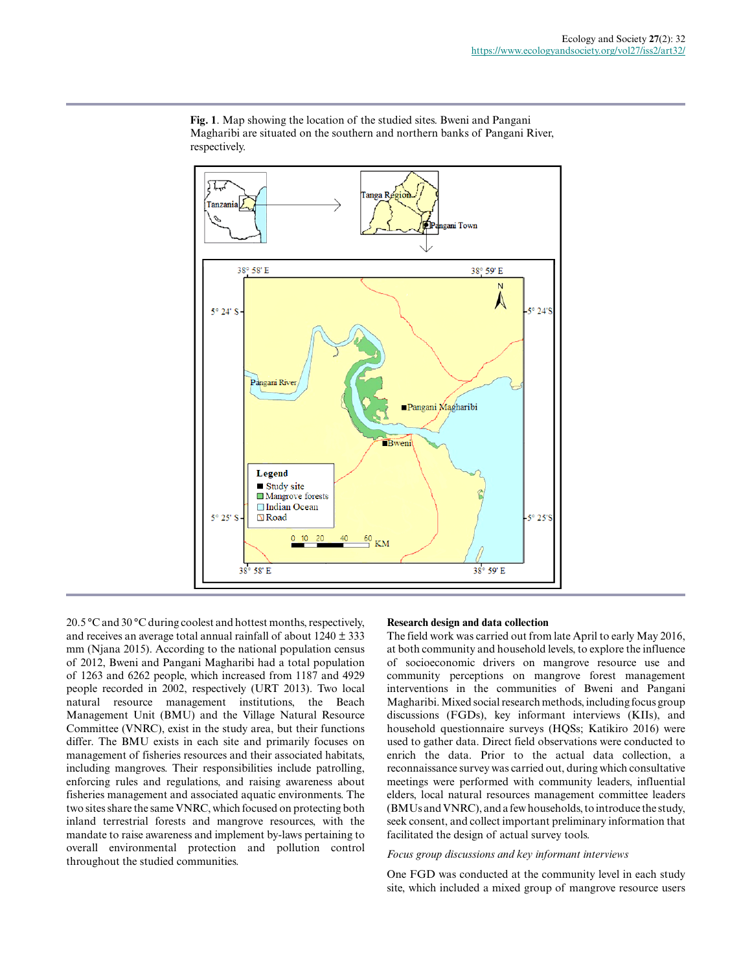

**Fig. 1**. Map showing the location of the studied sites. Bweni and Pangani Magharibi are situated on the southern and northern banks of Pangani River, respectively.

20.5 °C and 30 °C during coolest and hottest months, respectively, and receives an average total annual rainfall of about 1240 ± 333 mm (Njana 2015). According to the national population census of 2012, Bweni and Pangani Magharibi had a total population of 1263 and 6262 people, which increased from 1187 and 4929 people recorded in 2002, respectively (URT 2013). Two local natural resource management institutions, the Beach Management Unit (BMU) and the Village Natural Resource Committee (VNRC), exist in the study area, but their functions differ. The BMU exists in each site and primarily focuses on management of fisheries resources and their associated habitats, including mangroves. Their responsibilities include patrolling, enforcing rules and regulations, and raising awareness about fisheries management and associated aquatic environments. The two sites share the same VNRC, which focused on protecting both inland terrestrial forests and mangrove resources, with the mandate to raise awareness and implement by-laws pertaining to overall environmental protection and pollution control throughout the studied communities.

# **Research design and data collection**

The field work was carried out from late April to early May 2016, at both community and household levels, to explore the influence of socioeconomic drivers on mangrove resource use and community perceptions on mangrove forest management interventions in the communities of Bweni and Pangani Magharibi. Mixed social research methods, including focus group discussions (FGDs), key informant interviews (KIIs), and household questionnaire surveys (HQSs; Katikiro 2016) were used to gather data. Direct field observations were conducted to enrich the data. Prior to the actual data collection, a reconnaissance survey was carried out, during which consultative meetings were performed with community leaders, influential elders, local natural resources management committee leaders (BMUs and VNRC), and a few households, to introduce the study, seek consent, and collect important preliminary information that facilitated the design of actual survey tools.

#### *Focus group discussions and key informant interviews*

One FGD was conducted at the community level in each study site, which included a mixed group of mangrove resource users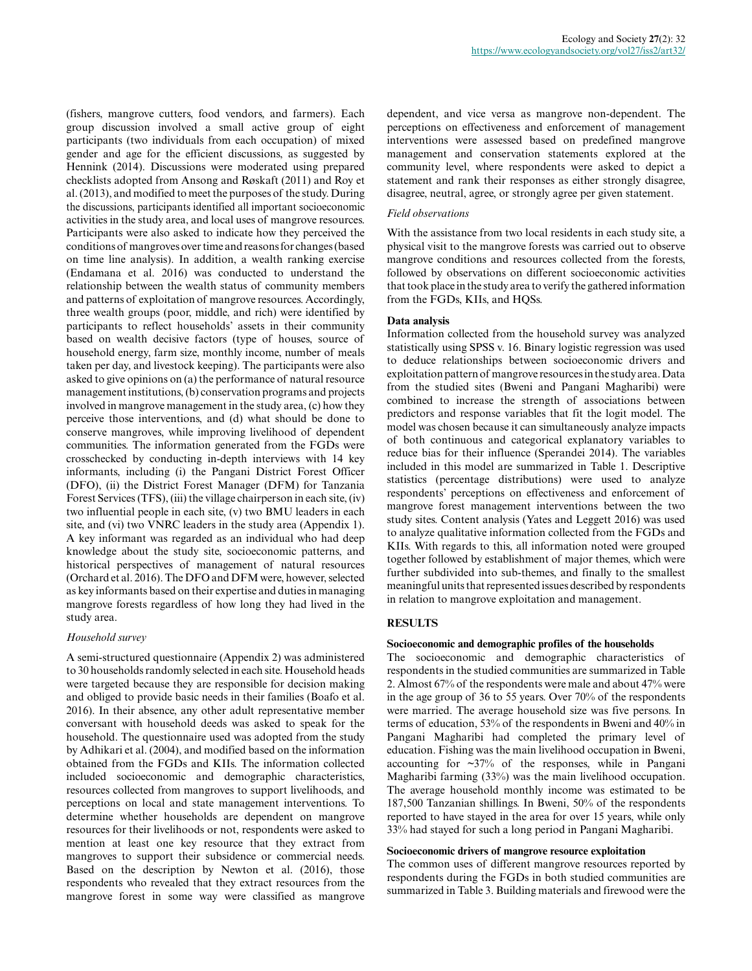(fishers, mangrove cutters, food vendors, and farmers). Each group discussion involved a small active group of eight participants (two individuals from each occupation) of mixed gender and age for the efficient discussions, as suggested by Hennink (2014). Discussions were moderated using prepared checklists adopted from Ansong and Røskaft (2011) and Roy et al. (2013), and modified to meet the purposes of the study. During the discussions, participants identified all important socioeconomic activities in the study area, and local uses of mangrove resources. Participants were also asked to indicate how they perceived the conditions of mangroves over time and reasons for changes (based on time line analysis). In addition, a wealth ranking exercise (Endamana et al. 2016) was conducted to understand the relationship between the wealth status of community members and patterns of exploitation of mangrove resources. Accordingly, three wealth groups (poor, middle, and rich) were identified by participants to reflect households' assets in their community based on wealth decisive factors (type of houses, source of household energy, farm size, monthly income, number of meals taken per day, and livestock keeping). The participants were also asked to give opinions on (a) the performance of natural resource management institutions, (b) conservation programs and projects involved in mangrove management in the study area, (c) how they perceive those interventions, and (d) what should be done to conserve mangroves, while improving livelihood of dependent communities. The information generated from the FGDs were crosschecked by conducting in-depth interviews with 14 key informants, including (i) the Pangani District Forest Officer (DFO), (ii) the District Forest Manager (DFM) for Tanzania Forest Services (TFS), (iii) the village chairperson in each site, (iv) two influential people in each site, (v) two BMU leaders in each site, and (vi) two VNRC leaders in the study area (Appendix 1). A key informant was regarded as an individual who had deep knowledge about the study site, socioeconomic patterns, and historical perspectives of management of natural resources (Orchard et al. 2016). The DFO and DFM were, however, selected as key informants based on their expertise and duties in managing mangrove forests regardless of how long they had lived in the study area.

#### *Household survey*

A semi-structured questionnaire (Appendix 2) was administered to 30 households randomly selected in each site. Household heads were targeted because they are responsible for decision making and obliged to provide basic needs in their families (Boafo et al. 2016). In their absence, any other adult representative member conversant with household deeds was asked to speak for the household. The questionnaire used was adopted from the study by Adhikari et al. (2004), and modified based on the information obtained from the FGDs and KIIs. The information collected included socioeconomic and demographic characteristics, resources collected from mangroves to support livelihoods, and perceptions on local and state management interventions. To determine whether households are dependent on mangrove resources for their livelihoods or not, respondents were asked to mention at least one key resource that they extract from mangroves to support their subsidence or commercial needs. Based on the description by Newton et al. (2016), those respondents who revealed that they extract resources from the mangrove forest in some way were classified as mangrove

dependent, and vice versa as mangrove non-dependent. The perceptions on effectiveness and enforcement of management interventions were assessed based on predefined mangrove management and conservation statements explored at the community level, where respondents were asked to depict a statement and rank their responses as either strongly disagree, disagree, neutral, agree, or strongly agree per given statement.

# *Field observations*

With the assistance from two local residents in each study site, a physical visit to the mangrove forests was carried out to observe mangrove conditions and resources collected from the forests, followed by observations on different socioeconomic activities that took place in the study area to verify the gathered information from the FGDs, KIIs, and HQSs.

#### **Data analysis**

Information collected from the household survey was analyzed statistically using SPSS v. 16. Binary logistic regression was used to deduce relationships between socioeconomic drivers and exploitation pattern of mangrove resources in the study area. Data from the studied sites (Bweni and Pangani Magharibi) were combined to increase the strength of associations between predictors and response variables that fit the logit model. The model was chosen because it can simultaneously analyze impacts of both continuous and categorical explanatory variables to reduce bias for their influence (Sperandei 2014). The variables included in this model are summarized in Table 1. Descriptive statistics (percentage distributions) were used to analyze respondents' perceptions on effectiveness and enforcement of mangrove forest management interventions between the two study sites. Content analysis (Yates and Leggett 2016) was used to analyze qualitative information collected from the FGDs and KIIs. With regards to this, all information noted were grouped together followed by establishment of major themes, which were further subdivided into sub-themes, and finally to the smallest meaningful units that represented issues described by respondents in relation to mangrove exploitation and management.

#### **RESULTS**

#### **Socioeconomic and demographic profiles of the households**

The socioeconomic and demographic characteristics of respondents in the studied communities are summarized in Table 2. Almost 67% of the respondents were male and about 47% were in the age group of 36 to 55 years. Over 70% of the respondents were married. The average household size was five persons. In terms of education, 53% of the respondents in Bweni and 40% in Pangani Magharibi had completed the primary level of education. Fishing was the main livelihood occupation in Bweni, accounting for ~37% of the responses, while in Pangani Magharibi farming (33%) was the main livelihood occupation. The average household monthly income was estimated to be 187,500 Tanzanian shillings. In Bweni, 50% of the respondents reported to have stayed in the area for over 15 years, while only 33% had stayed for such a long period in Pangani Magharibi.

# **Socioeconomic drivers of mangrove resource exploitation**

The common uses of different mangrove resources reported by respondents during the FGDs in both studied communities are summarized in Table 3. Building materials and firewood were the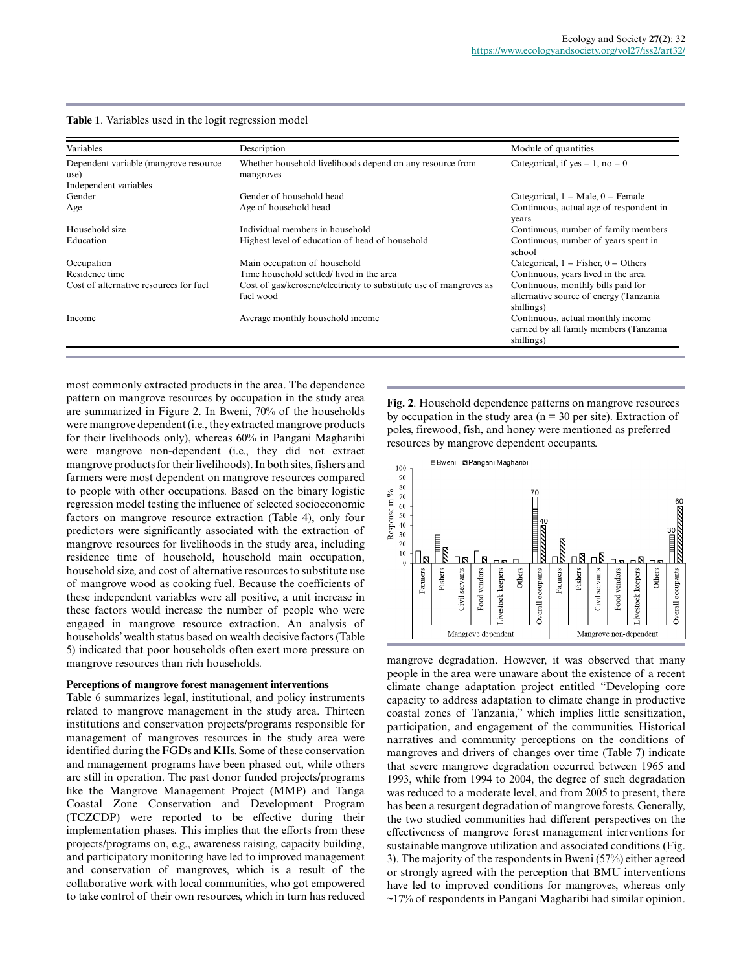| Variables                              | Description                                                                     | Module of quantities                                                                        |
|----------------------------------------|---------------------------------------------------------------------------------|---------------------------------------------------------------------------------------------|
| Dependent variable (mangrove resource  | Whether household livelihoods depend on any resource from                       | Categorical, if $yes = 1$ , no = 0                                                          |
| use)                                   | mangroves                                                                       |                                                                                             |
| Independent variables                  |                                                                                 |                                                                                             |
| Gender                                 | Gender of household head                                                        | Categorical, $1 = Male$ , $0 = Female$                                                      |
| Age                                    | Age of household head                                                           | Continuous, actual age of respondent in<br>years                                            |
| Household size                         | Individual members in household                                                 | Continuous, number of family members                                                        |
| Education                              | Highest level of education of head of household                                 | Continuous, number of years spent in<br>school                                              |
| Occupation                             | Main occupation of household                                                    | Categorical, $1 =$ Fisher, $0 =$ Others                                                     |
| Residence time                         | Time household settled/ lived in the area                                       | Continuous, years lived in the area                                                         |
| Cost of alternative resources for fuel | Cost of gas/kerosene/electricity to substitute use of mangroves as<br>fuel wood | Continuous, monthly bills paid for<br>alternative source of energy (Tanzania)<br>shillings) |
| Income                                 | Average monthly household income                                                | Continuous, actual monthly income<br>earned by all family members (Tanzania<br>shillings)   |

most commonly extracted products in the area. The dependence pattern on mangrove resources by occupation in the study area are summarized in Figure 2. In Bweni, 70% of the households were mangrove dependent (i.e., they extracted mangrove products for their livelihoods only), whereas 60% in Pangani Magharibi were mangrove non-dependent (i.e., they did not extract mangrove products for their livelihoods). In both sites, fishers and farmers were most dependent on mangrove resources compared to people with other occupations. Based on the binary logistic regression model testing the influence of selected socioeconomic factors on mangrove resource extraction (Table 4), only four predictors were significantly associated with the extraction of mangrove resources for livelihoods in the study area, including residence time of household, household main occupation, household size, and cost of alternative resources to substitute use of mangrove wood as cooking fuel. Because the coefficients of these independent variables were all positive, a unit increase in these factors would increase the number of people who were engaged in mangrove resource extraction. An analysis of households' wealth status based on wealth decisive factors (Table 5) indicated that poor households often exert more pressure on mangrove resources than rich households.

#### **Perceptions of mangrove forest management interventions**

Table 6 summarizes legal, institutional, and policy instruments related to mangrove management in the study area. Thirteen institutions and conservation projects/programs responsible for management of mangroves resources in the study area were identified during the FGDs and KIIs. Some of these conservation and management programs have been phased out, while others are still in operation. The past donor funded projects/programs like the Mangrove Management Project (MMP) and Tanga Coastal Zone Conservation and Development Program (TCZCDP) were reported to be effective during their implementation phases. This implies that the efforts from these projects/programs on, e.g., awareness raising, capacity building, and participatory monitoring have led to improved management and conservation of mangroves, which is a result of the collaborative work with local communities, who got empowered to take control of their own resources, which in turn has reduced

**Fig. 2**. Household dependence patterns on mangrove resources by occupation in the study area ( $n = 30$  per site). Extraction of poles, firewood, fish, and honey were mentioned as preferred resources by mangrove dependent occupants.



mangrove degradation. However, it was observed that many people in the area were unaware about the existence of a recent climate change adaptation project entitled "Developing core capacity to address adaptation to climate change in productive coastal zones of Tanzania," which implies little sensitization, participation, and engagement of the communities. Historical narratives and community perceptions on the conditions of mangroves and drivers of changes over time (Table 7) indicate that severe mangrove degradation occurred between 1965 and 1993, while from 1994 to 2004, the degree of such degradation was reduced to a moderate level, and from 2005 to present, there has been a resurgent degradation of mangrove forests. Generally, the two studied communities had different perspectives on the effectiveness of mangrove forest management interventions for sustainable mangrove utilization and associated conditions (Fig. 3). The majority of the respondents in Bweni (57%) either agreed or strongly agreed with the perception that BMU interventions have led to improved conditions for mangroves, whereas only ~17% of respondents in Pangani Magharibi had similar opinion.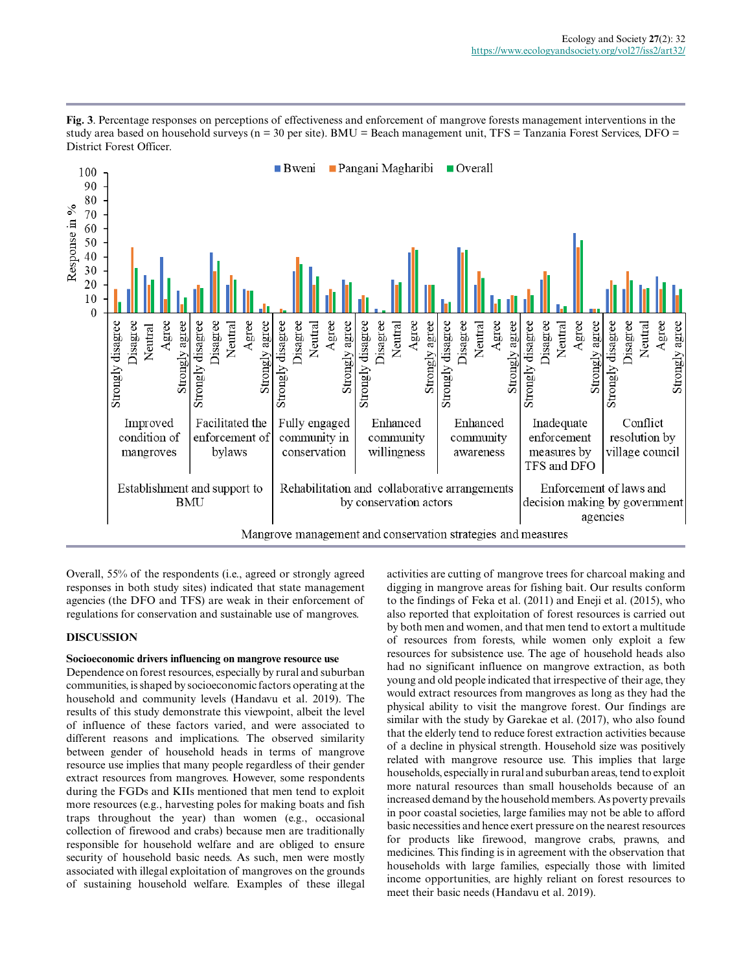

**Fig. 3**. Percentage responses on perceptions of effectiveness and enforcement of mangrove forests management interventions in the study area based on household surveys ( $n = 30$  per site). BMU = Beach management unit, TFS = Tanzania Forest Services, DFO = District Forest Officer.

Overall, 55% of the respondents (i.e., agreed or strongly agreed responses in both study sites) indicated that state management agencies (the DFO and TFS) are weak in their enforcement of regulations for conservation and sustainable use of mangroves.

# **DISCUSSION**

# **Socioeconomic drivers influencing on mangrove resource use**

Dependence on forest resources, especially by rural and suburban communities, is shaped by socioeconomic factors operating at the household and community levels (Handavu et al. 2019). The results of this study demonstrate this viewpoint, albeit the level of influence of these factors varied, and were associated to different reasons and implications. The observed similarity between gender of household heads in terms of mangrove resource use implies that many people regardless of their gender extract resources from mangroves. However, some respondents during the FGDs and KIIs mentioned that men tend to exploit more resources (e.g., harvesting poles for making boats and fish traps throughout the year) than women (e.g., occasional collection of firewood and crabs) because men are traditionally responsible for household welfare and are obliged to ensure security of household basic needs. As such, men were mostly associated with illegal exploitation of mangroves on the grounds of sustaining household welfare. Examples of these illegal

activities are cutting of mangrove trees for charcoal making and digging in mangrove areas for fishing bait. Our results conform to the findings of Feka et al. (2011) and Eneji et al. (2015), who also reported that exploitation of forest resources is carried out by both men and women, and that men tend to extort a multitude of resources from forests, while women only exploit a few resources for subsistence use. The age of household heads also had no significant influence on mangrove extraction, as both young and old people indicated that irrespective of their age, they would extract resources from mangroves as long as they had the physical ability to visit the mangrove forest. Our findings are similar with the study by Garekae et al. (2017), who also found that the elderly tend to reduce forest extraction activities because of a decline in physical strength. Household size was positively related with mangrove resource use. This implies that large households, especially in rural and suburban areas, tend to exploit more natural resources than small households because of an increased demand by the household members. As poverty prevails in poor coastal societies, large families may not be able to afford basic necessities and hence exert pressure on the nearest resources for products like firewood, mangrove crabs, prawns, and medicines. This finding is in agreement with the observation that households with large families, especially those with limited income opportunities, are highly reliant on forest resources to meet their basic needs (Handavu et al. 2019).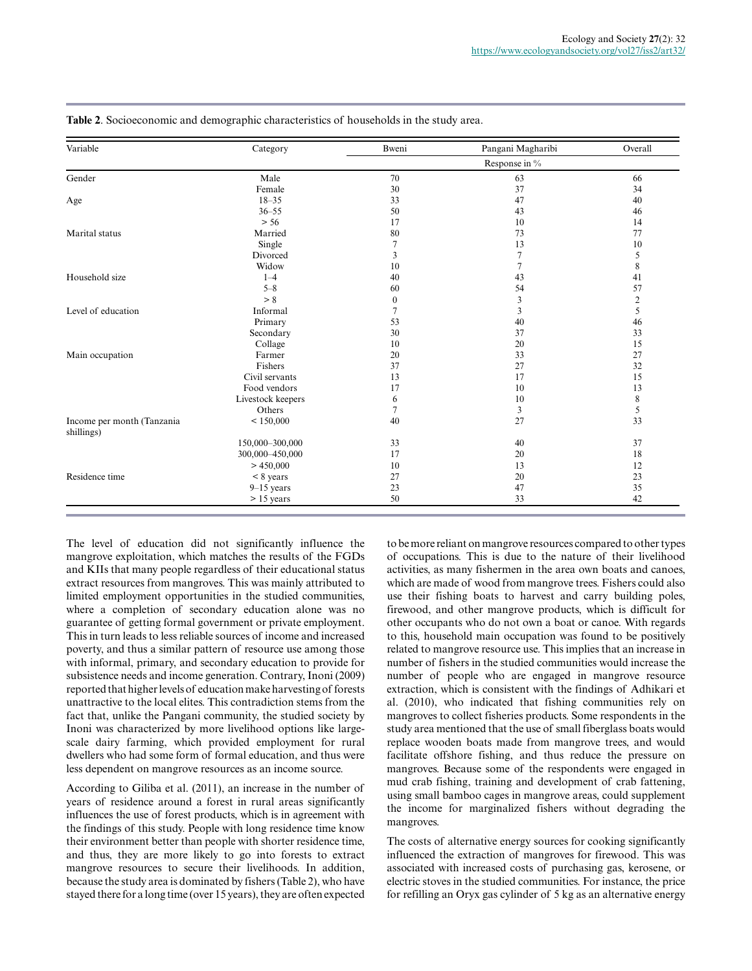| Variable                                 | Category          | Bweni            | Pangani Magharibi | Overall        |  |
|------------------------------------------|-------------------|------------------|-------------------|----------------|--|
|                                          |                   | Response in %    |                   |                |  |
| Gender                                   | Male              | 70               | 63                | 66             |  |
|                                          | Female            | 30               | 37                | 34             |  |
| Age                                      | $18 - 35$         | 33               | 47                | 40             |  |
|                                          | $36 - 55$         | 50               | 43                | 46             |  |
|                                          | > 56              | 17               | 10                | 14             |  |
| Marital status                           | Married           | 80               | 73                | 77             |  |
|                                          | Single            | $\overline{7}$   | 13                | 10             |  |
|                                          | Divorced          | 3                | $\overline{7}$    | 5              |  |
|                                          | Widow             | 10               | 7                 | 8              |  |
| Household size                           | $1 - 4$           | 40               | 43                | 41             |  |
|                                          | $5 - 8$           | 60               | 54                | 57             |  |
|                                          | > 8               | $\boldsymbol{0}$ | 3                 | $\overline{c}$ |  |
| Level of education                       | Informal          | $\overline{7}$   | $\overline{3}$    | 5              |  |
|                                          | Primary           | 53               | 40                | 46             |  |
|                                          | Secondary         | 30               | 37                | 33             |  |
|                                          | Collage           | 10               | 20                | 15             |  |
| Main occupation                          | Farmer            | 20               | 33                | 27             |  |
|                                          | Fishers           | 37               | 27                | 32             |  |
|                                          | Civil servants    | 13               | 17                | 15             |  |
|                                          | Food vendors      | 17               | 10                | 13             |  |
|                                          | Livestock keepers | 6                | 10                | 8              |  |
|                                          | Others            | 7                | 3                 | 5              |  |
| Income per month (Tanzania<br>shillings) | < 150,000         | 40               | 27                | 33             |  |
|                                          | 150,000-300,000   | 33               | 40                | 37             |  |
|                                          | 300,000-450,000   | 17               | 20                | 18             |  |
|                                          | > 450,000         | 10               | 13                | 12             |  |
| Residence time                           | $< 8$ years       | 27               | 20                | 23             |  |
|                                          | $9-15$ years      | 23               | 47                | 35             |  |
|                                          | $> 15$ years      | 50               | 33                | 42             |  |

**Table 2**. Socioeconomic and demographic characteristics of households in the study area.

The level of education did not significantly influence the mangrove exploitation, which matches the results of the FGDs and KIIs that many people regardless of their educational status extract resources from mangroves. This was mainly attributed to limited employment opportunities in the studied communities, where a completion of secondary education alone was no guarantee of getting formal government or private employment. This in turn leads to less reliable sources of income and increased poverty, and thus a similar pattern of resource use among those with informal, primary, and secondary education to provide for subsistence needs and income generation. Contrary, Inoni (2009) reported that higher levels of education make harvesting of forests unattractive to the local elites. This contradiction stems from the fact that, unlike the Pangani community, the studied society by Inoni was characterized by more livelihood options like largescale dairy farming, which provided employment for rural dwellers who had some form of formal education, and thus were less dependent on mangrove resources as an income source.

According to Giliba et al. (2011), an increase in the number of years of residence around a forest in rural areas significantly influences the use of forest products, which is in agreement with the findings of this study. People with long residence time know their environment better than people with shorter residence time, and thus, they are more likely to go into forests to extract mangrove resources to secure their livelihoods. In addition, because the study area is dominated by fishers (Table 2), who have stayed there for a long time (over 15 years), they are often expected to be more reliant on mangrove resources compared to other types of occupations. This is due to the nature of their livelihood activities, as many fishermen in the area own boats and canoes, which are made of wood from mangrove trees. Fishers could also use their fishing boats to harvest and carry building poles, firewood, and other mangrove products, which is difficult for other occupants who do not own a boat or canoe. With regards to this, household main occupation was found to be positively related to mangrove resource use. This implies that an increase in number of fishers in the studied communities would increase the number of people who are engaged in mangrove resource extraction, which is consistent with the findings of Adhikari et al. (2010), who indicated that fishing communities rely on mangroves to collect fisheries products. Some respondents in the study area mentioned that the use of small fiberglass boats would replace wooden boats made from mangrove trees, and would facilitate offshore fishing, and thus reduce the pressure on mangroves. Because some of the respondents were engaged in mud crab fishing, training and development of crab fattening, using small bamboo cages in mangrove areas, could supplement the income for marginalized fishers without degrading the mangroves.

The costs of alternative energy sources for cooking significantly influenced the extraction of mangroves for firewood. This was associated with increased costs of purchasing gas, kerosene, or electric stoves in the studied communities. For instance, the price for refilling an Oryx gas cylinder of 5 kg as an alternative energy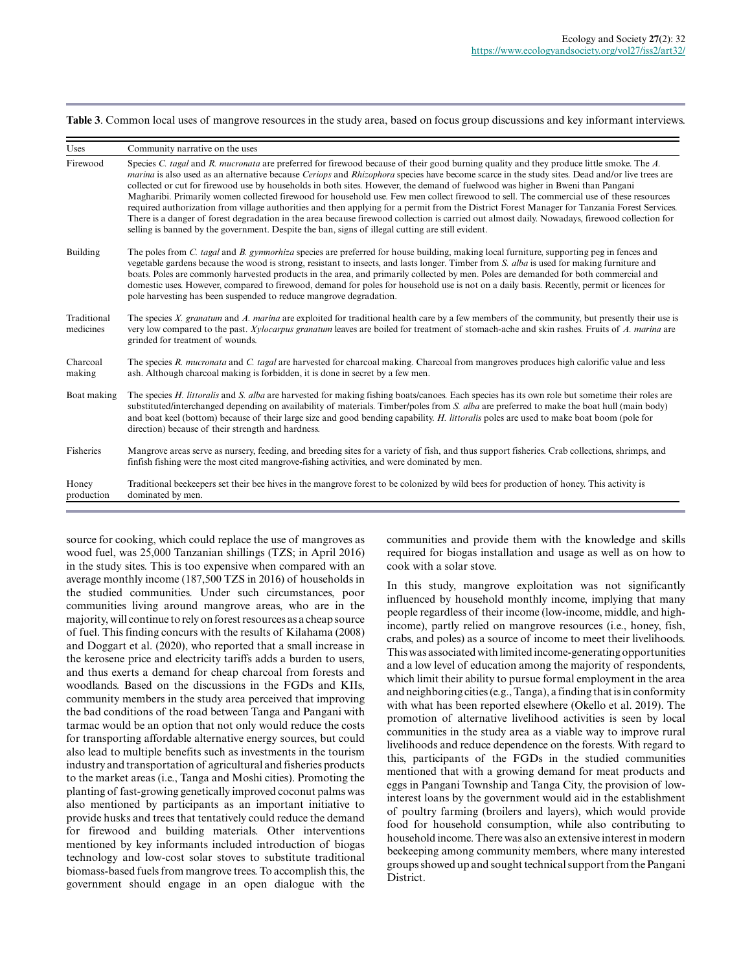**Table 3**. Common local uses of mangrove resources in the study area, based on focus group discussions and key informant interviews.

| <b>Uses</b>              | Community narrative on the uses                                                                                                                                                                                                                                                                                                                                                                                                                                                                                                                                                                                                                                                                                                                                                                                                                                                                                                                                                   |
|--------------------------|-----------------------------------------------------------------------------------------------------------------------------------------------------------------------------------------------------------------------------------------------------------------------------------------------------------------------------------------------------------------------------------------------------------------------------------------------------------------------------------------------------------------------------------------------------------------------------------------------------------------------------------------------------------------------------------------------------------------------------------------------------------------------------------------------------------------------------------------------------------------------------------------------------------------------------------------------------------------------------------|
| Firewood                 | Species C. tagal and R. mucronata are preferred for firewood because of their good burning quality and they produce little smoke. The A.<br>marina is also used as an alternative because Ceriops and Rhizophora species have become scarce in the study sites. Dead and/or live trees are<br>collected or cut for firewood use by households in both sites. However, the demand of fuelwood was higher in Bweni than Pangani<br>Magharibi. Primarily women collected firewood for household use. Few men collect firewood to sell. The commercial use of these resources<br>required authorization from village authorities and then applying for a permit from the District Forest Manager for Tanzania Forest Services.<br>There is a danger of forest degradation in the area because firewood collection is carried out almost daily. Nowadays, firewood collection for<br>selling is banned by the government. Despite the ban, signs of illegal cutting are still evident. |
| <b>Building</b>          | The poles from C. tagal and B. gymnorhiza species are preferred for house building, making local furniture, supporting peg in fences and<br>vegetable gardens because the wood is strong, resistant to insects, and lasts longer. Timber from S. alba is used for making furniture and<br>boats. Poles are commonly harvested products in the area, and primarily collected by men. Poles are demanded for both commercial and<br>domestic uses. However, compared to firewood, demand for poles for household use is not on a daily basis. Recently, permit or licences for<br>pole harvesting has been suspended to reduce mangrove degradation.                                                                                                                                                                                                                                                                                                                                |
| Traditional<br>medicines | The species X. granatum and A. marina are exploited for traditional health care by a few members of the community, but presently their use is<br>very low compared to the past. Xylocarpus granatum leaves are boiled for treatment of stomach-ache and skin rashes. Fruits of A. marina are<br>grinded for treatment of wounds.                                                                                                                                                                                                                                                                                                                                                                                                                                                                                                                                                                                                                                                  |
| Charcoal<br>making       | The species R. mucronata and C. tagal are harvested for charcoal making. Charcoal from mangroves produces high calorific value and less<br>ash. Although charcoal making is forbidden, it is done in secret by a few men.                                                                                                                                                                                                                                                                                                                                                                                                                                                                                                                                                                                                                                                                                                                                                         |
| Boat making              | The species H. littoralis and S. alba are harvested for making fishing boats/canoes. Each species has its own role but sometime their roles are<br>substituted/interchanged depending on availability of materials. Timber/poles from S. alba are preferred to make the boat hull (main body)<br>and boat keel (bottom) because of their large size and good bending capability. H. littoralis poles are used to make boat boom (pole for<br>direction) because of their strength and hardness.                                                                                                                                                                                                                                                                                                                                                                                                                                                                                   |
| Fisheries                | Mangrove areas serve as nursery, feeding, and breeding sites for a variety of fish, and thus support fisheries. Crab collections, shrimps, and<br>finfish fishing were the most cited mangrove-fishing activities, and were dominated by men.                                                                                                                                                                                                                                                                                                                                                                                                                                                                                                                                                                                                                                                                                                                                     |
| Honey<br>production      | Traditional beekeepers set their bee hives in the mangrove forest to be colonized by wild bees for production of honey. This activity is<br>dominated by men.                                                                                                                                                                                                                                                                                                                                                                                                                                                                                                                                                                                                                                                                                                                                                                                                                     |

source for cooking, which could replace the use of mangroves as wood fuel, was 25,000 Tanzanian shillings (TZS; in April 2016) in the study sites. This is too expensive when compared with an average monthly income (187,500 TZS in 2016) of households in the studied communities. Under such circumstances, poor communities living around mangrove areas, who are in the majority, will continue to rely on forest resources as a cheap source of fuel. This finding concurs with the results of Kilahama (2008) and Doggart et al. (2020), who reported that a small increase in the kerosene price and electricity tariffs adds a burden to users, and thus exerts a demand for cheap charcoal from forests and woodlands. Based on the discussions in the FGDs and KIIs, community members in the study area perceived that improving the bad conditions of the road between Tanga and Pangani with tarmac would be an option that not only would reduce the costs for transporting affordable alternative energy sources, but could also lead to multiple benefits such as investments in the tourism industry and transportation of agricultural and fisheries products to the market areas (i.e., Tanga and Moshi cities). Promoting the planting of fast-growing genetically improved coconut palms was also mentioned by participants as an important initiative to provide husks and trees that tentatively could reduce the demand for firewood and building materials. Other interventions mentioned by key informants included introduction of biogas technology and low-cost solar stoves to substitute traditional biomass-based fuels from mangrove trees. To accomplish this, the government should engage in an open dialogue with the communities and provide them with the knowledge and skills required for biogas installation and usage as well as on how to cook with a solar stove.

In this study, mangrove exploitation was not significantly influenced by household monthly income, implying that many people regardless of their income (low-income, middle, and highincome), partly relied on mangrove resources (i.e., honey, fish, crabs, and poles) as a source of income to meet their livelihoods. This was associated with limited income-generating opportunities and a low level of education among the majority of respondents, which limit their ability to pursue formal employment in the area and neighboring cities (e.g., Tanga), a finding that is in conformity with what has been reported elsewhere (Okello et al. 2019). The promotion of alternative livelihood activities is seen by local communities in the study area as a viable way to improve rural livelihoods and reduce dependence on the forests. With regard to this, participants of the FGDs in the studied communities mentioned that with a growing demand for meat products and eggs in Pangani Township and Tanga City, the provision of lowinterest loans by the government would aid in the establishment of poultry farming (broilers and layers), which would provide food for household consumption, while also contributing to household income. There was also an extensive interest in modern beekeeping among community members, where many interested groups showed up and sought technical support from the Pangani District.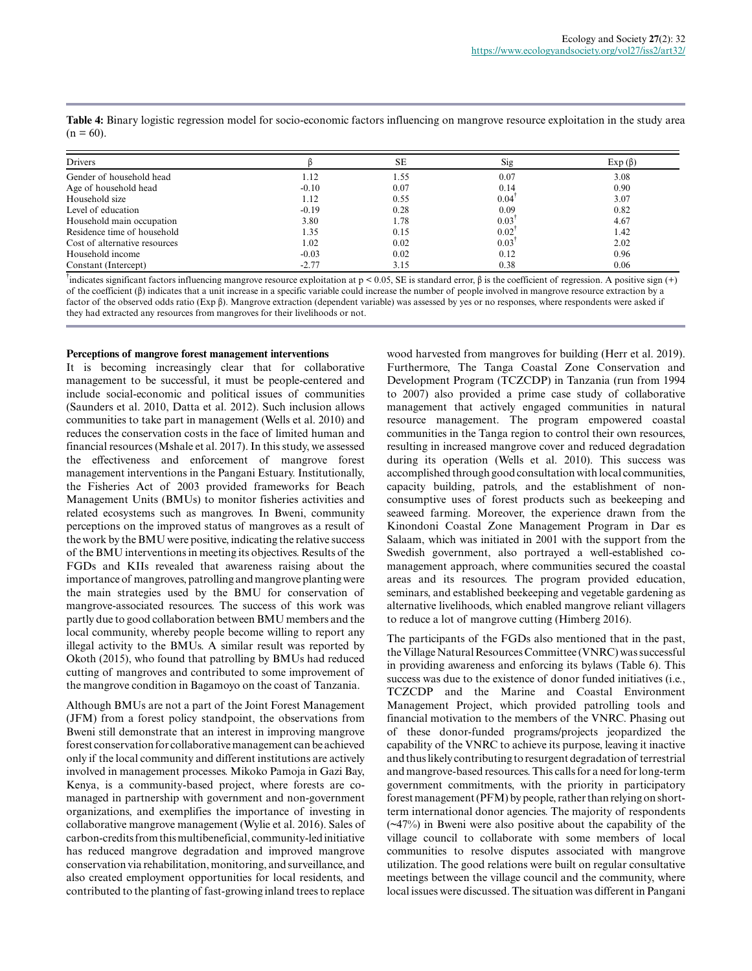| <b>Drivers</b>                |         | <b>SE</b> | Sig                 | $Exp(\beta)$ |
|-------------------------------|---------|-----------|---------------------|--------------|
| Gender of household head      | 1.12    | 1.55      | 0.07                | 3.08         |
| Age of household head         | $-0.10$ | 0.07      | 0.14                | 0.90         |
| Household size                | 1.12    | 0.55      | 0.04                | 3.07         |
| Level of education            | $-0.19$ | 0.28      | 0.09                | 0.82         |
| Household main occupation     | 3.80    | 1.78      | 0.03                | 4.67         |
| Residence time of household   | 1.35    | 0.15      | $0.02$ <sup>1</sup> | 1.42         |
| Cost of alternative resources | 1.02    | 0.02      | 0.03                | 2.02         |
| Household income              | $-0.03$ | 0.02      | 0.12                | 0.96         |
| Constant (Intercept)          | $-2.77$ | 3.15      | 0.38                | 0.06         |

**Table 4:** Binary logistic regression model for socio-economic factors influencing on mangrove resource exploitation in the study area  $(n = 60)$ .

<sup>†</sup>indicates significant factors influencing mangrove resource exploitation at p < 0.05, SE is standard error, β is the coefficient of regression. A positive sign (+) of the coefficient  $(β)$  indicates that a unit increase in a specific variable could increase the number of people involved in mangrove resource extraction by a factor of the observed odds ratio (Exp β). Mangrove extraction (dependent variable) was assessed by yes or no responses, where respondents were asked if they had extracted any resources from mangroves for their livelihoods or not.

#### **Perceptions of mangrove forest management interventions**

It is becoming increasingly clear that for collaborative management to be successful, it must be people-centered and include social-economic and political issues of communities (Saunders et al. 2010, Datta et al. 2012). Such inclusion allows communities to take part in management (Wells et al. 2010) and reduces the conservation costs in the face of limited human and financial resources (Mshale et al. 2017). In this study, we assessed the effectiveness and enforcement of mangrove forest management interventions in the Pangani Estuary. Institutionally, the Fisheries Act of 2003 provided frameworks for Beach Management Units (BMUs) to monitor fisheries activities and related ecosystems such as mangroves. In Bweni, community perceptions on the improved status of mangroves as a result of the work by the BMU were positive, indicating the relative success of the BMU interventions in meeting its objectives. Results of the FGDs and KIIs revealed that awareness raising about the importance of mangroves, patrolling and mangrove planting were the main strategies used by the BMU for conservation of mangrove-associated resources. The success of this work was partly due to good collaboration between BMU members and the local community, whereby people become willing to report any illegal activity to the BMUs. A similar result was reported by Okoth (2015), who found that patrolling by BMUs had reduced cutting of mangroves and contributed to some improvement of the mangrove condition in Bagamoyo on the coast of Tanzania.

Although BMUs are not a part of the Joint Forest Management (JFM) from a forest policy standpoint, the observations from Bweni still demonstrate that an interest in improving mangrove forest conservation for collaborative management can be achieved only if the local community and different institutions are actively involved in management processes. Mikoko Pamoja in Gazi Bay, Kenya, is a community-based project, where forests are comanaged in partnership with government and non-government organizations, and exemplifies the importance of investing in collaborative mangrove management (Wylie et al. 2016). Sales of carbon-credits from this multibeneficial, community-led initiative has reduced mangrove degradation and improved mangrove conservation via rehabilitation, monitoring, and surveillance, and also created employment opportunities for local residents, and contributed to the planting of fast-growing inland trees to replace wood harvested from mangroves for building (Herr et al. 2019). Furthermore, The Tanga Coastal Zone Conservation and Development Program (TCZCDP) in Tanzania (run from 1994 to 2007) also provided a prime case study of collaborative management that actively engaged communities in natural resource management. The program empowered coastal communities in the Tanga region to control their own resources, resulting in increased mangrove cover and reduced degradation during its operation (Wells et al. 2010). This success was accomplished through good consultation with local communities, capacity building, patrols, and the establishment of nonconsumptive uses of forest products such as beekeeping and seaweed farming. Moreover, the experience drawn from the Kinondoni Coastal Zone Management Program in Dar es Salaam, which was initiated in 2001 with the support from the Swedish government, also portrayed a well-established comanagement approach, where communities secured the coastal areas and its resources. The program provided education, seminars, and established beekeeping and vegetable gardening as alternative livelihoods, which enabled mangrove reliant villagers to reduce a lot of mangrove cutting (Himberg 2016).

The participants of the FGDs also mentioned that in the past, the Village Natural Resources Committee (VNRC) was successful in providing awareness and enforcing its bylaws (Table 6). This success was due to the existence of donor funded initiatives (i.e., TCZCDP and the Marine and Coastal Environment Management Project, which provided patrolling tools and financial motivation to the members of the VNRC. Phasing out of these donor-funded programs/projects jeopardized the capability of the VNRC to achieve its purpose, leaving it inactive and thus likely contributing to resurgent degradation of terrestrial and mangrove-based resources. This calls for a need for long-term government commitments, with the priority in participatory forest management (PFM) by people, rather than relying on shortterm international donor agencies. The majority of respondents (~47%) in Bweni were also positive about the capability of the village council to collaborate with some members of local communities to resolve disputes associated with mangrove utilization. The good relations were built on regular consultative meetings between the village council and the community, where local issues were discussed. The situation was different in Pangani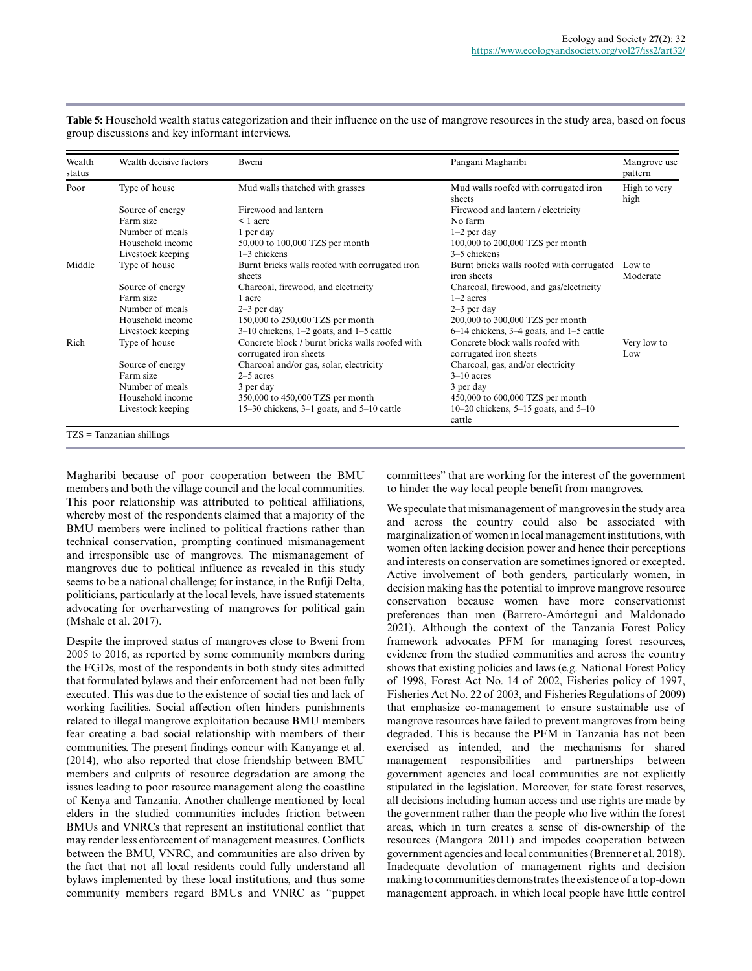| Wealth<br>status | Wealth decisive factors      | Bweni                                                                     | Pangani Magharibi                                          | Mangrove use<br>pattern |
|------------------|------------------------------|---------------------------------------------------------------------------|------------------------------------------------------------|-------------------------|
| Poor             | Type of house                | Mud walls thatched with grasses                                           | Mud walls roofed with corrugated iron<br>sheets            | High to very<br>high    |
|                  | Source of energy             | Firewood and lantern                                                      | Firewood and lantern / electricity                         |                         |
|                  | Farm size                    | $\leq 1$ acre                                                             | No farm                                                    |                         |
|                  | Number of meals              | 1 per day                                                                 | $1-2$ per day                                              |                         |
|                  | Household income             | 50,000 to 100,000 TZS per month                                           | 100,000 to 200,000 TZS per month                           |                         |
|                  | Livestock keeping            | $1-3$ chickens                                                            | 3–5 chickens                                               |                         |
| Middle           | Type of house                | Burnt bricks walls roofed with corrugated iron<br>sheets                  | Burnt bricks walls roofed with corrugated<br>iron sheets   | Low to<br>Moderate      |
|                  | Source of energy             | Charcoal, firewood, and electricity                                       | Charcoal, firewood, and gas/electricity                    |                         |
|                  | Farm size                    | 1 acre                                                                    | $1-2$ acres                                                |                         |
|                  | Number of meals              | $2-3$ per day                                                             | $2-3$ per day                                              |                         |
|                  | Household income             | 150,000 to 250,000 TZS per month                                          | 200,000 to 300,000 TZS per month                           |                         |
|                  | Livestock keeping            | $3-10$ chickens, $1-2$ goats, and $1-5$ cattle                            | $6-14$ chickens, $3-4$ goats, and $1-5$ cattle             |                         |
| Rich             | Type of house                | Concrete block / burnt bricks walls roofed with<br>corrugated iron sheets | Concrete block walls roofed with<br>corrugated iron sheets | Very low to<br>Low      |
|                  | Source of energy             | Charcoal and/or gas, solar, electricity                                   | Charcoal, gas, and/or electricity                          |                         |
|                  | Farm size                    | $2-5$ acres                                                               | $3-10$ acres                                               |                         |
|                  | Number of meals              | 3 per day                                                                 | 3 per day                                                  |                         |
|                  | Household income             | 350,000 to 450,000 TZS per month                                          | 450,000 to 600,000 TZS per month                           |                         |
|                  | Livestock keeping            | 15–30 chickens, $3-1$ goats, and $5-10$ cattle                            | 10–20 chickens, $5-15$ goats, and $5-10$                   |                         |
|                  |                              |                                                                           | cattle                                                     |                         |
|                  | $TZS = Tanzania$ n shillings |                                                                           |                                                            |                         |

**Table 5:** Household wealth status categorization and their influence on the use of mangrove resources in the study area, based on focus group discussions and key informant interviews.

Magharibi because of poor cooperation between the BMU members and both the village council and the local communities. This poor relationship was attributed to political affiliations, whereby most of the respondents claimed that a majority of the BMU members were inclined to political fractions rather than technical conservation, prompting continued mismanagement and irresponsible use of mangroves. The mismanagement of mangroves due to political influence as revealed in this study seems to be a national challenge; for instance, in the Rufiji Delta, politicians, particularly at the local levels, have issued statements advocating for overharvesting of mangroves for political gain (Mshale et al. 2017).

Despite the improved status of mangroves close to Bweni from 2005 to 2016, as reported by some community members during the FGDs, most of the respondents in both study sites admitted that formulated bylaws and their enforcement had not been fully executed. This was due to the existence of social ties and lack of working facilities. Social affection often hinders punishments related to illegal mangrove exploitation because BMU members fear creating a bad social relationship with members of their communities. The present findings concur with Kanyange et al. (2014), who also reported that close friendship between BMU members and culprits of resource degradation are among the issues leading to poor resource management along the coastline of Kenya and Tanzania. Another challenge mentioned by local elders in the studied communities includes friction between BMUs and VNRCs that represent an institutional conflict that may render less enforcement of management measures. Conflicts between the BMU, VNRC, and communities are also driven by the fact that not all local residents could fully understand all bylaws implemented by these local institutions, and thus some community members regard BMUs and VNRC as "puppet

committees" that are working for the interest of the government to hinder the way local people benefit from mangroves.

We speculate that mismanagement of mangroves in the study area and across the country could also be associated with marginalization of women in local management institutions, with women often lacking decision power and hence their perceptions and interests on conservation are sometimes ignored or excepted. Active involvement of both genders, particularly women, in decision making has the potential to improve mangrove resource conservation because women have more conservationist preferences than men (Barrero-Amórtegui and Maldonado 2021). Although the context of the Tanzania Forest Policy framework advocates PFM for managing forest resources, evidence from the studied communities and across the country shows that existing policies and laws (e.g. National Forest Policy of 1998, Forest Act No. 14 of 2002, Fisheries policy of 1997, Fisheries Act No. 22 of 2003, and Fisheries Regulations of 2009) that emphasize co-management to ensure sustainable use of mangrove resources have failed to prevent mangroves from being degraded. This is because the PFM in Tanzania has not been exercised as intended, and the mechanisms for shared management responsibilities and partnerships between government agencies and local communities are not explicitly stipulated in the legislation. Moreover, for state forest reserves, all decisions including human access and use rights are made by the government rather than the people who live within the forest areas, which in turn creates a sense of dis-ownership of the resources (Mangora 2011) and impedes cooperation between government agencies and local communities (Brenner et al. 2018). Inadequate devolution of management rights and decision making to communities demonstrates the existence of a top-down management approach, in which local people have little control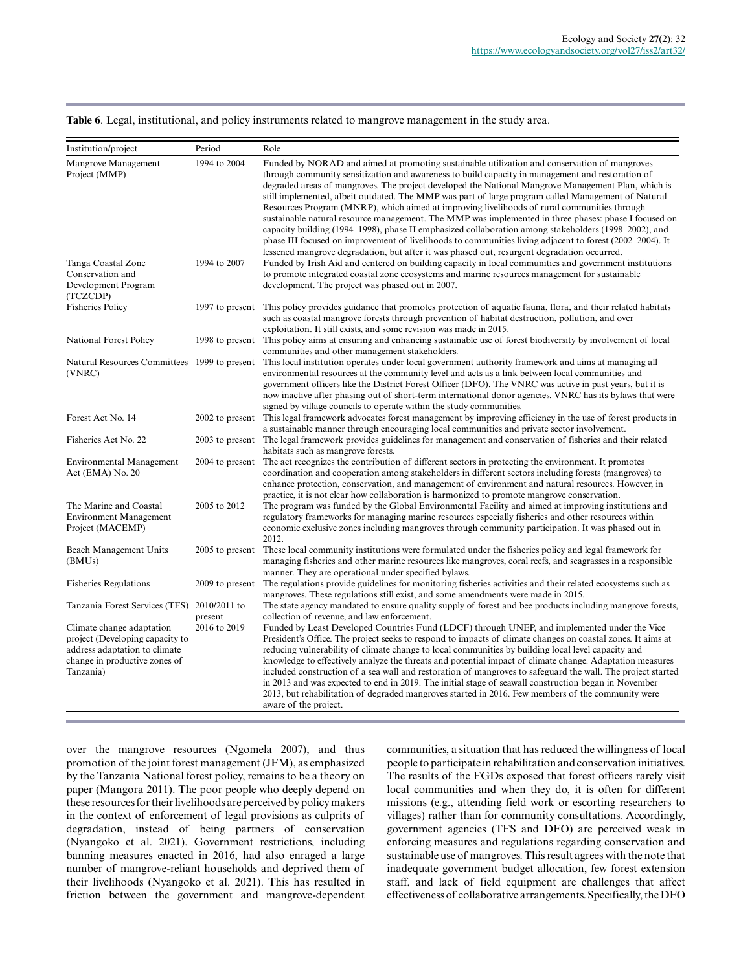|  |  |  |  |  |  |  |  | Table 6. Legal, institutional, and policy instruments related to mangrove management in the study area. |
|--|--|--|--|--|--|--|--|---------------------------------------------------------------------------------------------------------|
|--|--|--|--|--|--|--|--|---------------------------------------------------------------------------------------------------------|

| Institution/project                                                                                                                         | Period                  | Role                                                                                                                                                                                                                                                                                                                                                                                                                                                                                                                                                                                                                                                                                                                                                                                                                                                                                                                                   |
|---------------------------------------------------------------------------------------------------------------------------------------------|-------------------------|----------------------------------------------------------------------------------------------------------------------------------------------------------------------------------------------------------------------------------------------------------------------------------------------------------------------------------------------------------------------------------------------------------------------------------------------------------------------------------------------------------------------------------------------------------------------------------------------------------------------------------------------------------------------------------------------------------------------------------------------------------------------------------------------------------------------------------------------------------------------------------------------------------------------------------------|
| Mangrove Management<br>Project (MMP)                                                                                                        | 1994 to 2004            | Funded by NORAD and aimed at promoting sustainable utilization and conservation of mangroves<br>through community sensitization and awareness to build capacity in management and restoration of<br>degraded areas of mangroves. The project developed the National Mangrove Management Plan, which is<br>still implemented, albeit outdated. The MMP was part of large program called Management of Natural<br>Resources Program (MNRP), which aimed at improving livelihoods of rural communities through<br>sustainable natural resource management. The MMP was implemented in three phases: phase I focused on<br>capacity building (1994–1998), phase II emphasized collaboration among stakeholders (1998–2002), and<br>phase III focused on improvement of livelihoods to communities living adjacent to forest (2002–2004). It<br>lessened mangrove degradation, but after it was phased out, resurgent degradation occurred. |
| Tanga Coastal Zone<br>Conservation and<br>Development Program<br>(TCZCDP)                                                                   | 1994 to 2007            | Funded by Irish Aid and centered on building capacity in local communities and government institutions<br>to promote integrated coastal zone ecosystems and marine resources management for sustainable<br>development. The project was phased out in 2007.                                                                                                                                                                                                                                                                                                                                                                                                                                                                                                                                                                                                                                                                            |
| <b>Fisheries Policy</b>                                                                                                                     | 1997 to present         | This policy provides guidance that promotes protection of aquatic fauna, flora, and their related habitats<br>such as coastal mangrove forests through prevention of habitat destruction, pollution, and over<br>exploitation. It still exists, and some revision was made in 2015.                                                                                                                                                                                                                                                                                                                                                                                                                                                                                                                                                                                                                                                    |
| National Forest Policy                                                                                                                      |                         | 1998 to present This policy aims at ensuring and enhancing sustainable use of forest biodiversity by involvement of local<br>communities and other management stakeholders.                                                                                                                                                                                                                                                                                                                                                                                                                                                                                                                                                                                                                                                                                                                                                            |
| Natural Resources Committees 1999 to present<br>(VNRC)                                                                                      |                         | This local institution operates under local government authority framework and aims at managing all<br>environmental resources at the community level and acts as a link between local communities and<br>government officers like the District Forest Officer (DFO). The VNRC was active in past years, but it is<br>now inactive after phasing out of short-term international donor agencies. VNRC has its bylaws that were<br>signed by village councils to operate within the study communities.                                                                                                                                                                                                                                                                                                                                                                                                                                  |
| Forest Act No. 14                                                                                                                           | 2002 to present         | This legal framework advocates forest management by improving efficiency in the use of forest products in<br>a sustainable manner through encouraging local communities and private sector involvement.                                                                                                                                                                                                                                                                                                                                                                                                                                                                                                                                                                                                                                                                                                                                |
| Fisheries Act No. 22                                                                                                                        |                         | 2003 to present The legal framework provides guidelines for management and conservation of fisheries and their related<br>habitats such as mangrove forests.                                                                                                                                                                                                                                                                                                                                                                                                                                                                                                                                                                                                                                                                                                                                                                           |
| <b>Environmental Management</b><br>Act (EMA) No. 20                                                                                         | 2004 to present         | The act recognizes the contribution of different sectors in protecting the environment. It promotes<br>coordination and cooperation among stakeholders in different sectors including forests (mangroves) to<br>enhance protection, conservation, and management of environment and natural resources. However, in<br>practice, it is not clear how collaboration is harmonized to promote mangrove conservation.                                                                                                                                                                                                                                                                                                                                                                                                                                                                                                                      |
| The Marine and Coastal<br><b>Environment Management</b><br>Project (MACEMP)                                                                 | 2005 to 2012            | The program was funded by the Global Environmental Facility and aimed at improving institutions and<br>regulatory frameworks for managing marine resources especially fisheries and other resources within<br>economic exclusive zones including mangroves through community participation. It was phased out in<br>2012.                                                                                                                                                                                                                                                                                                                                                                                                                                                                                                                                                                                                              |
| Beach Management Units<br>(BMUs)                                                                                                            | 2005 to present         | These local community institutions were formulated under the fisheries policy and legal framework for<br>managing fisheries and other marine resources like mangroves, coral reefs, and seagrasses in a responsible<br>manner. They are operational under specified bylaws.                                                                                                                                                                                                                                                                                                                                                                                                                                                                                                                                                                                                                                                            |
| <b>Fisheries Regulations</b>                                                                                                                | 2009 to present         | The regulations provide guidelines for monitoring fisheries activities and their related ecosystems such as<br>mangroves. These regulations still exist, and some amendments were made in 2015.                                                                                                                                                                                                                                                                                                                                                                                                                                                                                                                                                                                                                                                                                                                                        |
| Tanzania Forest Services (TFS)                                                                                                              | 2010/2011 to<br>present | The state agency mandated to ensure quality supply of forest and bee products including mangrove forests,<br>collection of revenue, and law enforcement.                                                                                                                                                                                                                                                                                                                                                                                                                                                                                                                                                                                                                                                                                                                                                                               |
| Climate change adaptation<br>project (Developing capacity to<br>address adaptation to climate<br>change in productive zones of<br>Tanzania) | 2016 to 2019            | Funded by Least Developed Countries Fund (LDCF) through UNEP, and implemented under the Vice<br>President's Office. The project seeks to respond to impacts of climate changes on coastal zones. It aims at<br>reducing vulnerability of climate change to local communities by building local level capacity and<br>knowledge to effectively analyze the threats and potential impact of climate change. Adaptation measures<br>included construction of a sea wall and restoration of mangroves to safeguard the wall. The project started<br>in 2013 and was expected to end in 2019. The initial stage of seawall construction began in November<br>2013, but rehabilitation of degraded mangroves started in 2016. Few members of the community were<br>aware of the project.                                                                                                                                                     |

over the mangrove resources (Ngomela 2007), and thus promotion of the joint forest management (JFM), as emphasized by the Tanzania National forest policy, remains to be a theory on paper (Mangora 2011). The poor people who deeply depend on these resources for their livelihoods are perceived by policy makers in the context of enforcement of legal provisions as culprits of degradation, instead of being partners of conservation (Nyangoko et al. 2021). Government restrictions, including banning measures enacted in 2016, had also enraged a large number of mangrove-reliant households and deprived them of their livelihoods (Nyangoko et al. 2021). This has resulted in friction between the government and mangrove-dependent

communities, a situation that has reduced the willingness of local people to participate in rehabilitation and conservation initiatives. The results of the FGDs exposed that forest officers rarely visit local communities and when they do, it is often for different missions (e.g., attending field work or escorting researchers to villages) rather than for community consultations. Accordingly, government agencies (TFS and DFO) are perceived weak in enforcing measures and regulations regarding conservation and sustainable use of mangroves. This result agrees with the note that inadequate government budget allocation, few forest extension staff, and lack of field equipment are challenges that affect effectiveness of collaborative arrangements. Specifically, the DFO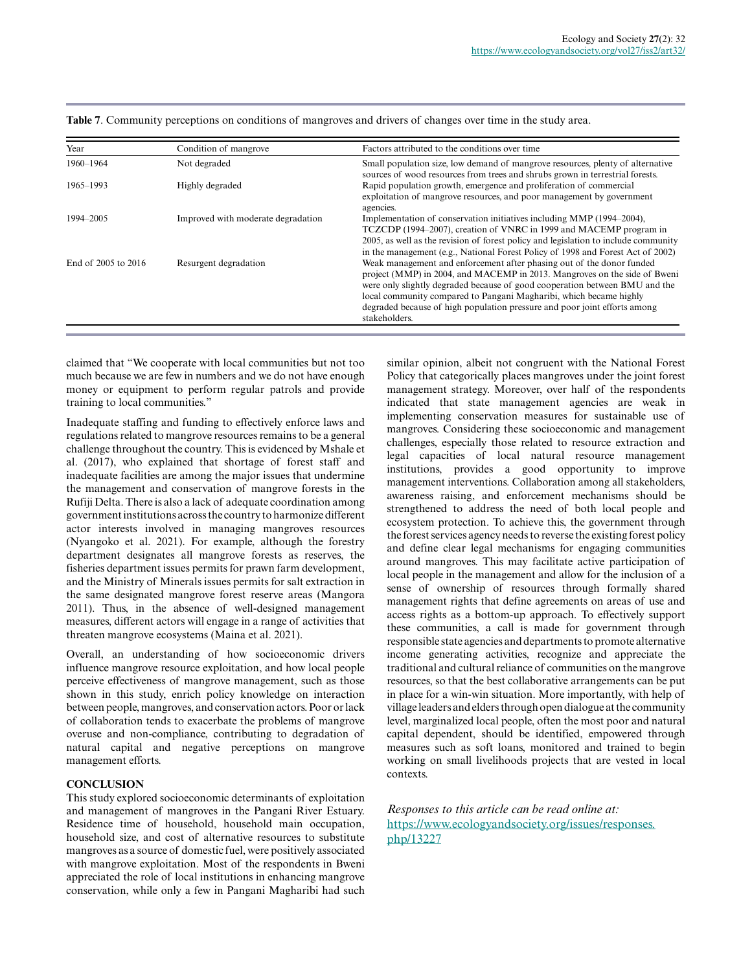| Year                | Condition of mangrove              | Factors attributed to the conditions over time                                                                                                                                                                                                                                                                                                                                                        |
|---------------------|------------------------------------|-------------------------------------------------------------------------------------------------------------------------------------------------------------------------------------------------------------------------------------------------------------------------------------------------------------------------------------------------------------------------------------------------------|
| 1960-1964           | Not degraded                       | Small population size, low demand of mangrove resources, plenty of alternative<br>sources of wood resources from trees and shrubs grown in terrestrial forests.                                                                                                                                                                                                                                       |
| 1965-1993           | Highly degraded                    | Rapid population growth, emergence and proliferation of commercial<br>exploitation of mangrove resources, and poor management by government<br>agencies.                                                                                                                                                                                                                                              |
| 1994-2005           | Improved with moderate degradation | Implementation of conservation initiatives including MMP (1994–2004),<br>TCZCDP (1994–2007), creation of VNRC in 1999 and MACEMP program in<br>2005, as well as the revision of forest policy and legislation to include community<br>in the management (e.g., National Forest Policy of 1998 and Forest Act of 2002)                                                                                 |
| End of 2005 to 2016 | Resurgent degradation              | Weak management and enforcement after phasing out of the donor funded<br>project (MMP) in 2004, and MACEMP in 2013. Mangroves on the side of Bweni<br>were only slightly degraded because of good cooperation between BMU and the<br>local community compared to Pangani Magharibi, which became highly<br>degraded because of high population pressure and poor joint efforts among<br>stakeholders. |

**Table 7**. Community perceptions on conditions of mangroves and drivers of changes over time in the study area.

claimed that "We cooperate with local communities but not too much because we are few in numbers and we do not have enough money or equipment to perform regular patrols and provide training to local communities."

Inadequate staffing and funding to effectively enforce laws and regulations related to mangrove resources remains to be a general challenge throughout the country. This is evidenced by Mshale et al. (2017), who explained that shortage of forest staff and inadequate facilities are among the major issues that undermine the management and conservation of mangrove forests in the Rufiji Delta. There is also a lack of adequate coordination among government institutions across the country to harmonize different actor interests involved in managing mangroves resources (Nyangoko et al. 2021). For example, although the forestry department designates all mangrove forests as reserves, the fisheries department issues permits for prawn farm development, and the Ministry of Minerals issues permits for salt extraction in the same designated mangrove forest reserve areas (Mangora 2011). Thus, in the absence of well-designed management measures, different actors will engage in a range of activities that threaten mangrove ecosystems (Maina et al. 2021).

Overall, an understanding of how socioeconomic drivers influence mangrove resource exploitation, and how local people perceive effectiveness of mangrove management, such as those shown in this study, enrich policy knowledge on interaction between people, mangroves, and conservation actors. Poor or lack of collaboration tends to exacerbate the problems of mangrove overuse and non-compliance, contributing to degradation of natural capital and negative perceptions on mangrove management efforts.

# **CONCLUSION**

This study explored socioeconomic determinants of exploitation and management of mangroves in the Pangani River Estuary. Residence time of household, household main occupation, household size, and cost of alternative resources to substitute mangroves as a source of domestic fuel, were positively associated with mangrove exploitation. Most of the respondents in Bweni appreciated the role of local institutions in enhancing mangrove conservation, while only a few in Pangani Magharibi had such similar opinion, albeit not congruent with the National Forest Policy that categorically places mangroves under the joint forest management strategy. Moreover, over half of the respondents indicated that state management agencies are weak in implementing conservation measures for sustainable use of mangroves. Considering these socioeconomic and management challenges, especially those related to resource extraction and legal capacities of local natural resource management institutions, provides a good opportunity to improve management interventions. Collaboration among all stakeholders, awareness raising, and enforcement mechanisms should be strengthened to address the need of both local people and ecosystem protection. To achieve this, the government through the forest services agency needs to reverse the existing forest policy and define clear legal mechanisms for engaging communities around mangroves. This may facilitate active participation of local people in the management and allow for the inclusion of a sense of ownership of resources through formally shared management rights that define agreements on areas of use and access rights as a bottom-up approach. To effectively support these communities, a call is made for government through responsible state agencies and departments to promote alternative income generating activities, recognize and appreciate the traditional and cultural reliance of communities on the mangrove resources, so that the best collaborative arrangements can be put in place for a win-win situation. More importantly, with help of village leaders and elders through open dialogue at the community level, marginalized local people, often the most poor and natural capital dependent, should be identified, empowered through measures such as soft loans, monitored and trained to begin working on small livelihoods projects that are vested in local contexts.

*Responses to this article can be read online at:* [https://www.ecologyandsociety.org/issues/responses.](https://www.ecologyandsociety.org/issues/responses.php/13227) [php/13227](https://www.ecologyandsociety.org/issues/responses.php/13227)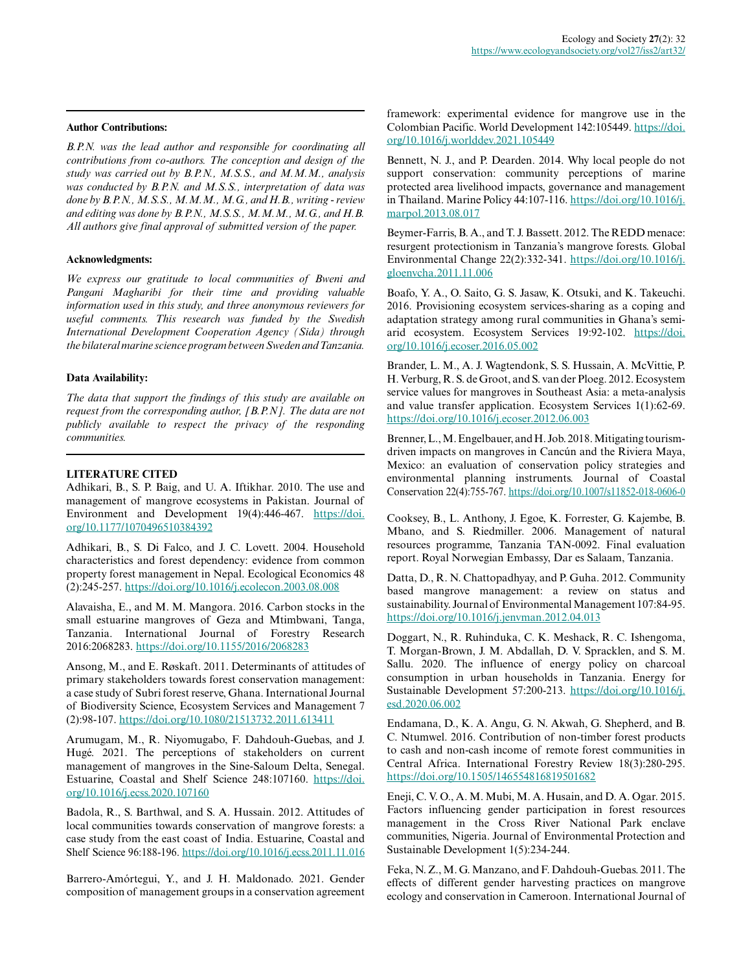*B.P.N. was the lead author and responsible for coordinating all contributions from co-authors. The conception and design of the study was carried out by B.P.N., M.S.S., and M.M.M., analysis was conducted by B.P.N. and M.S.S., interpretation of data was done by B.P.N., M.S.S., M.M.M., M.G., and H.B., writing - review and editing was done by B.P.N., M.S.S., M.M.M., M.G., and H.B. All authors give final approval of submitted version of the paper.*

#### **Acknowledgments:**

*We express our gratitude to local communities of Bweni and Pangani Magharibi for their time and providing valuable information used in this study, and three anonymous reviewers for useful comments. This research was funded by the Swedish International Development Cooperation Agency (Sida) through the bilateral marine science program between Sweden and Tanzania.*

#### **Data Availability:**

*The data that support the findings of this study are available on request from the corresponding author, [B.P.N]. The data are not publicly available to respect the privacy of the responding communities.*

# **LITERATURE CITED**

Adhikari, B., S. P. Baig, and U. A. Iftikhar. 2010. The use and management of mangrove ecosystems in Pakistan. Journal of Environment and Development 19(4):446-467. [https://doi.](https://doi.org/10.1177/1070496510384392) [org/10.1177/1070496510384392](https://doi.org/10.1177/1070496510384392)

Adhikari, B., S. Di Falco, and J. C. Lovett. 2004. Household characteristics and forest dependency: evidence from common property forest management in Nepal. Ecological Economics 48 (2):245-257. <https://doi.org/10.1016/j.ecolecon.2003.08.008>

Alavaisha, E., and M. M. Mangora. 2016. Carbon stocks in the small estuarine mangroves of Geza and Mtimbwani, Tanga, Tanzania. International Journal of Forestry Research 2016:2068283. <https://doi.org/10.1155/2016/2068283>

Ansong, M., and E. Røskaft. 2011. Determinants of attitudes of primary stakeholders towards forest conservation management: a case study of Subri forest reserve, Ghana. International Journal of Biodiversity Science, Ecosystem Services and Management 7 (2):98-107.<https://doi.org/10.1080/21513732.2011.613411>

Arumugam, M., R. Niyomugabo, F. Dahdouh-Guebas, and J. Hugé. 2021. The perceptions of stakeholders on current management of mangroves in the Sine-Saloum Delta, Senegal. Estuarine, Coastal and Shelf Science 248:107160. [https://doi.](https://doi.org/10.1016/j.ecss.2020.107160) [org/10.1016/j.ecss.2020.107160](https://doi.org/10.1016/j.ecss.2020.107160)

Badola, R., S. Barthwal, and S. A. Hussain. 2012. Attitudes of local communities towards conservation of mangrove forests: a case study from the east coast of India. Estuarine, Coastal and Shelf Science 96:188-196.<https://doi.org/10.1016/j.ecss.2011.11.016>

Barrero-Amórtegui, Y., and J. H. Maldonado. 2021. Gender composition of management groups in a conservation agreement framework: experimental evidence for mangrove use in the Colombian Pacific. World Development 142:105449. [https://doi.](https://doi.org/10.1016/j.worlddev.2021.105449) [org/10.1016/j.worlddev.2021.105449](https://doi.org/10.1016/j.worlddev.2021.105449)

Bennett, N. J., and P. Dearden. 2014. Why local people do not support conservation: community perceptions of marine protected area livelihood impacts, governance and management in Thailand. Marine Policy 44:107-116. [https://doi.org/10.1016/j.](https://doi.org/10.1016/j.marpol.2013.08.017) [marpol.2013.08.017](https://doi.org/10.1016/j.marpol.2013.08.017) 

Beymer-Farris, B. A., and T. J. Bassett. 2012. The REDD menace: resurgent protectionism in Tanzania's mangrove forests. Global Environmental Change 22(2):332-341. [https://doi.org/10.1016/j.](https://doi.org/10.1016/j.gloenvcha.2011.11.006) [gloenvcha.2011.11.006](https://doi.org/10.1016/j.gloenvcha.2011.11.006)

Boafo, Y. A., O. Saito, G. S. Jasaw, K. Otsuki, and K. Takeuchi. 2016. Provisioning ecosystem services-sharing as a coping and adaptation strategy among rural communities in Ghana's semiarid ecosystem. Ecosystem Services 19:92-102. [https://doi.](https://doi.org/10.1016/j.ecoser.2016.05.002) [org/10.1016/j.ecoser.2016.05.002](https://doi.org/10.1016/j.ecoser.2016.05.002)

Brander, L. M., A. J. Wagtendonk, S. S. Hussain, A. McVittie, P. H. Verburg, R. S. de Groot, and S. van der Ploeg. 2012. Ecosystem service values for mangroves in Southeast Asia: a meta-analysis and value transfer application. Ecosystem Services 1(1):62-69. <https://doi.org/10.1016/j.ecoser.2012.06.003>

Brenner, L., M. Engelbauer, and H. Job. 2018. Mitigating tourismdriven impacts on mangroves in Cancún and the Riviera Maya, Mexico: an evaluation of conservation policy strategies and environmental planning instruments. Journal of Coastal Conservation 22(4):755-767.<https://doi.org/10.1007/s11852-018-0606-0>

Cooksey, B., L. Anthony, J. Egoe, K. Forrester, G. Kajembe, B. Mbano, and S. Riedmiller. 2006. Management of natural resources programme, Tanzania TAN-0092. Final evaluation report. Royal Norwegian Embassy, Dar es Salaam, Tanzania.

Datta, D., R. N. Chattopadhyay, and P. Guha. 2012. Community based mangrove management: a review on status and sustainability. Journal of Environmental Management 107:84-95. <https://doi.org/10.1016/j.jenvman.2012.04.013>

Doggart, N., R. Ruhinduka, C. K. Meshack, R. C. Ishengoma, T. Morgan-Brown, J. M. Abdallah, D. V. Spracklen, and S. M. Sallu. 2020. The influence of energy policy on charcoal consumption in urban households in Tanzania. Energy for Sustainable Development 57:200-213. [https://doi.org/10.1016/j.](https://doi.org/10.1016/j.esd.2020.06.002) [esd.2020.06.002](https://doi.org/10.1016/j.esd.2020.06.002)

Endamana, D., K. A. Angu, G. N. Akwah, G. Shepherd, and B. C. Ntumwel. 2016. Contribution of non-timber forest products to cash and non-cash income of remote forest communities in Central Africa. International Forestry Review 18(3):280-295. <https://doi.org/10.1505/146554816819501682>

Eneji, C. V. O., A. M. Mubi, M. A. Husain, and D. A. Ogar. 2015. Factors influencing gender participation in forest resources management in the Cross River National Park enclave communities, Nigeria. Journal of Environmental Protection and Sustainable Development 1(5):234-244.

Feka, N. Z., M. G. Manzano, and F. Dahdouh-Guebas. 2011. The effects of different gender harvesting practices on mangrove ecology and conservation in Cameroon. International Journal of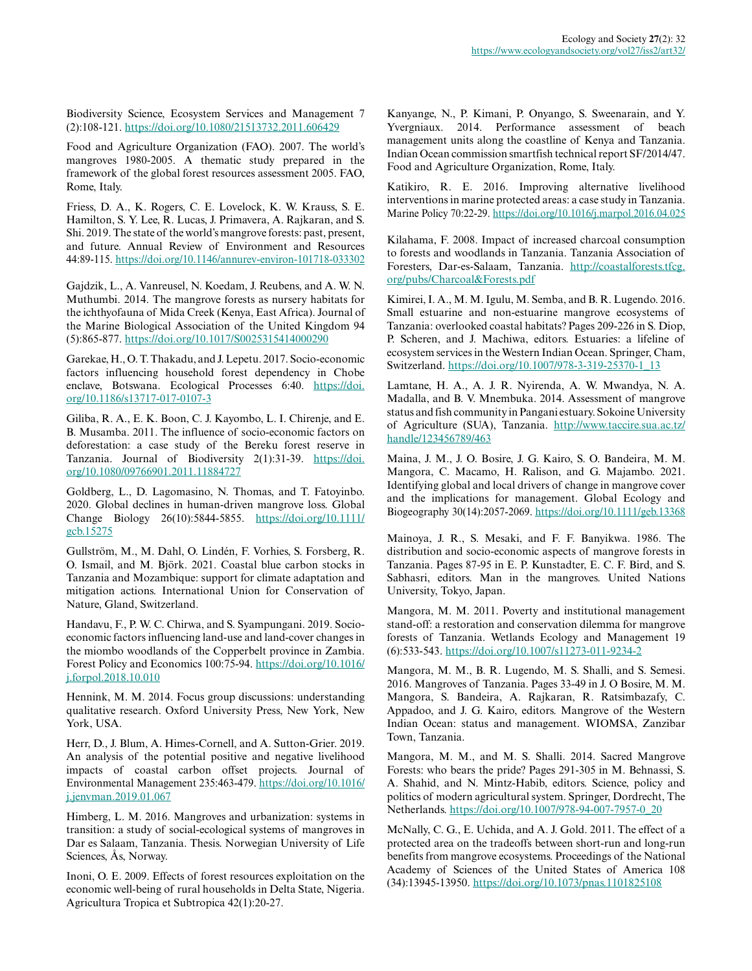Biodiversity Science, Ecosystem Services and Management 7 (2):108-121. <https://doi.org/10.1080/21513732.2011.606429>

Food and Agriculture Organization (FAO). 2007. The world's mangroves 1980-2005. A thematic study prepared in the framework of the global forest resources assessment 2005. FAO, Rome, Italy.

Friess, D. A., K. Rogers, C. E. Lovelock, K. W. Krauss, S. E. Hamilton, S. Y. Lee, R. Lucas, J. Primavera, A. Rajkaran, and S. Shi. 2019. The state of the world's mangrove forests: past, present, and future. Annual Review of Environment and Resources 44:89-115.<https://doi.org/10.1146/annurev-environ-101718-033302>

Gajdzik, L., A. Vanreusel, N. Koedam, J. Reubens, and A. W. N. Muthumbi. 2014. The mangrove forests as nursery habitats for the ichthyofauna of Mida Creek (Kenya, East Africa). Journal of the Marine Biological Association of the United Kingdom 94 (5):865-877. <https://doi.org/10.1017/S0025315414000290>

Garekae, H., O. T. Thakadu, and J. Lepetu. 2017. Socio-economic factors influencing household forest dependency in Chobe enclave, Botswana. Ecological Processes 6:40. [https://doi.](https://doi.org/10.1186/s13717-017-0107-3) [org/10.1186/s13717-017-0107-3](https://doi.org/10.1186/s13717-017-0107-3)

Giliba, R. A., E. K. Boon, C. J. Kayombo, L. I. Chirenje, and E. B. Musamba. 2011. The influence of socio-economic factors on deforestation: a case study of the Bereku forest reserve in Tanzania. Journal of Biodiversity 2(1):31-39. [https://doi.](https://doi.org/10.1080/09766901.2011.11884727) [org/10.1080/09766901.2011.11884727](https://doi.org/10.1080/09766901.2011.11884727)

Goldberg, L., D. Lagomasino, N. Thomas, and T. Fatoyinbo. 2020. Global declines in human-driven mangrove loss. Global Change Biology 26(10):5844-5855. [https://doi.org/10.1111/](https://doi.org/10.1111/gcb.15275) [gcb.15275](https://doi.org/10.1111/gcb.15275) 

Gullström, M., M. Dahl, O. Lindén, F. Vorhies, S. Forsberg, R. O. Ismail, and M. Björk. 2021. Coastal blue carbon stocks in Tanzania and Mozambique: support for climate adaptation and mitigation actions. International Union for Conservation of Nature, Gland, Switzerland.

Handavu, F., P. W. C. Chirwa, and S. Syampungani. 2019. Socioeconomic factors influencing land-use and land-cover changes in the miombo woodlands of the Copperbelt province in Zambia. Forest Policy and Economics 100:75-94. [https://doi.org/10.1016/](https://doi.org/10.1016/j.forpol.2018.10.010) [j.forpol.2018.10.010](https://doi.org/10.1016/j.forpol.2018.10.010)

Hennink, M. M. 2014. Focus group discussions: understanding qualitative research. Oxford University Press, New York, New York, USA.

Herr, D., J. Blum, A. Himes-Cornell, and A. Sutton-Grier. 2019. An analysis of the potential positive and negative livelihood impacts of coastal carbon offset projects. Journal of Environmental Management 235:463-479. [https://doi.org/10.1016/](https://doi.org/10.1016/j.jenvman.2019.01.067) [j.jenvman.2019.01.067](https://doi.org/10.1016/j.jenvman.2019.01.067)

Himberg, L. M. 2016. Mangroves and urbanization: systems in transition: a study of social-ecological systems of mangroves in Dar es Salaam, Tanzania. Thesis. Norwegian University of Life Sciences, Ås, Norway.

Inoni, O. E. 2009. Effects of forest resources exploitation on the economic well-being of rural households in Delta State, Nigeria. Agricultura Tropica et Subtropica 42(1):20-27.

Kanyange, N., P. Kimani, P. Onyango, S. Sweenarain, and Y. Yvergniaux. 2014. Performance assessment of beach management units along the coastline of Kenya and Tanzania. Indian Ocean commission smartfish technical report SF/2014/47. Food and Agriculture Organization, Rome, Italy.

Katikiro, R. E. 2016. Improving alternative livelihood interventions in marine protected areas: a case study in Tanzania. Marine Policy 70:22-29.<https://doi.org/10.1016/j.marpol.2016.04.025>

Kilahama, F. 2008. Impact of increased charcoal consumption to forests and woodlands in Tanzania. Tanzania Association of Foresters, Dar-es-Salaam, Tanzania. [http://coastalforests.tfcg.](http://coastalforests.tfcg.org/pubs/Charcoal&Forests.pdf) [org/pubs/Charcoal&Forests.pdf](http://coastalforests.tfcg.org/pubs/Charcoal&Forests.pdf)

Kimirei, I. A., M. M. Igulu, M. Semba, and B. R. Lugendo. 2016. Small estuarine and non-estuarine mangrove ecosystems of Tanzania: overlooked coastal habitats? Pages 209-226 in S. Diop, P. Scheren, and J. Machiwa, editors. Estuaries: a lifeline of ecosystem services in the Western Indian Ocean. Springer, Cham, Switzerland. [https://doi.org/10.1007/978-3-319-25370-1\\_13](https://doi.org/10.1007/978-3-319-25370-1_13) 

Lamtane, H. A., A. J. R. Nyirenda, A. W. Mwandya, N. A. Madalla, and B. V. Mnembuka. 2014. Assessment of mangrove status and fish community in Pangani estuary. Sokoine University of Agriculture (SUA), Tanzania. [http://www.taccire.sua.ac.tz/](http://www.taccire.sua.ac.tz/handle/123456789/463) [handle/123456789/463](http://www.taccire.sua.ac.tz/handle/123456789/463) 

Maina, J. M., J. O. Bosire, J. G. Kairo, S. O. Bandeira, M. M. Mangora, C. Macamo, H. Ralison, and G. Majambo. 2021. Identifying global and local drivers of change in mangrove cover and the implications for management. Global Ecology and Biogeography 30(14):2057-2069. <https://doi.org/10.1111/geb.13368>

Mainoya, J. R., S. Mesaki, and F. F. Banyikwa. 1986. The distribution and socio-economic aspects of mangrove forests in Tanzania. Pages 87-95 in E. P. Kunstadter, E. C. F. Bird, and S. Sabhasri, editors. Man in the mangroves. United Nations University, Tokyo, Japan.

Mangora, M. M. 2011. Poverty and institutional management stand-off: a restoration and conservation dilemma for mangrove forests of Tanzania. Wetlands Ecology and Management 19 (6):533-543. <https://doi.org/10.1007/s11273-011-9234-2>

Mangora, M. M., B. R. Lugendo, M. S. Shalli, and S. Semesi. 2016. Mangroves of Tanzania. Pages 33-49 in J. O Bosire, M. M. Mangora, S. Bandeira, A. Rajkaran, R. Ratsimbazafy, C. Appadoo, and J. G. Kairo, editors. Mangrove of the Western Indian Ocean: status and management. WIOMSA, Zanzibar Town, Tanzania.

Mangora, M. M., and M. S. Shalli. 2014. Sacred Mangrove Forests: who bears the pride? Pages 291-305 in M. Behnassi, S. A. Shahid, and N. Mintz-Habib, editors. Science, policy and politics of modern agricultural system. Springer, Dordrecht, The Netherlands. [https://doi.org/10.1007/978-94-007-7957-0\\_20](https://doi.org/10.1007/978-94-007-7957-0_20) 

McNally, C. G., E. Uchida, and A. J. Gold. 2011. The effect of a protected area on the tradeoffs between short-run and long-run benefits from mangrove ecosystems. Proceedings of the National Academy of Sciences of the United States of America 108 (34):13945-13950.<https://doi.org/10.1073/pnas.1101825108>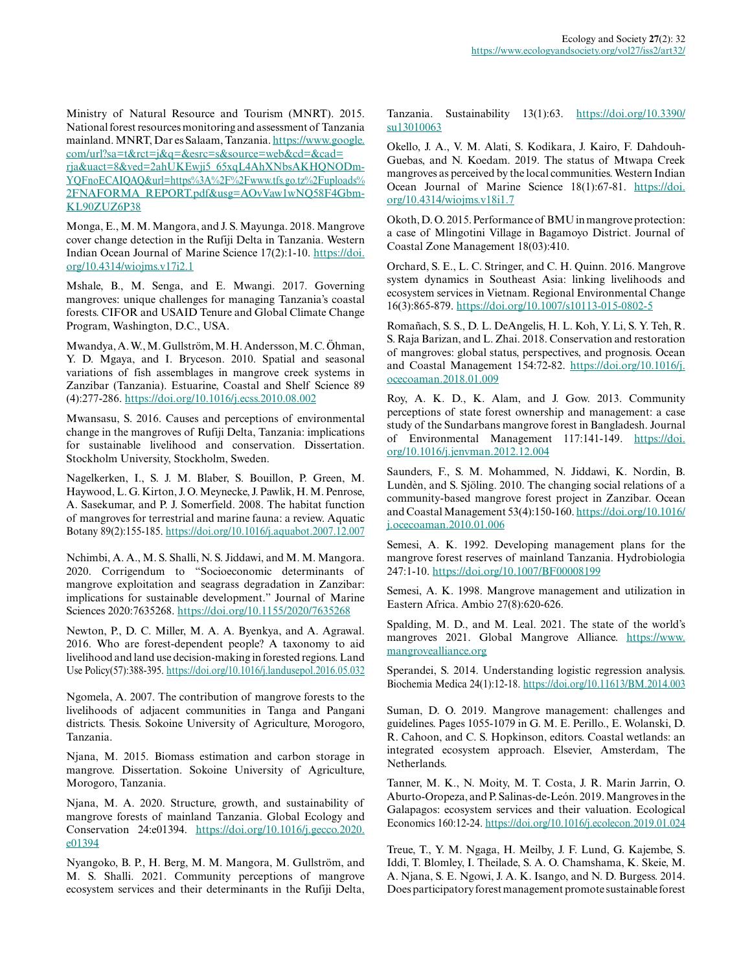Ministry of Natural Resource and Tourism (MNRT). 2015. National forest resources monitoring and assessment of Tanzania mainland. MNRT, Dar es Salaam, Tanzania. [https://www.google.](https://www.google.com/url?sa=t&rct=j&q=&esrc=s&source=web&cd=&cad=rja&uact=8&ved=2ahUKEwji5_65xqL4AhXNbsAKHQNODmYQFnoECAIQAQ&url=https%3A%2F%2Fwww.tfs.go.tz%2Fuploads%2FNAFORMA_REPORT.pdf&usg=AOvVaw1wNQ58F4GbmKL90ZUZ6P38) [com/url?sa=t&rct=j&q=&esrc=s&source=web&cd=&cad=](https://www.google.com/url?sa=t&rct=j&q=&esrc=s&source=web&cd=&cad=rja&uact=8&ved=2ahUKEwji5_65xqL4AhXNbsAKHQNODmYQFnoECAIQAQ&url=https%3A%2F%2Fwww.tfs.go.tz%2Fuploads%2FNAFORMA_REPORT.pdf&usg=AOvVaw1wNQ58F4GbmKL90ZUZ6P38) [rja&uact=8&ved=2ahUKEwji5\\_65xqL4AhXNbsAKHQNODm-](https://www.google.com/url?sa=t&rct=j&q=&esrc=s&source=web&cd=&cad=rja&uact=8&ved=2ahUKEwji5_65xqL4AhXNbsAKHQNODmYQFnoECAIQAQ&url=https%3A%2F%2Fwww.tfs.go.tz%2Fuploads%2FNAFORMA_REPORT.pdf&usg=AOvVaw1wNQ58F4GbmKL90ZUZ6P38)[YQFnoECAIQAQ&url=https%3A%2F%2Fwww.tfs.go.tz%2Fuploads%](https://www.google.com/url?sa=t&rct=j&q=&esrc=s&source=web&cd=&cad=rja&uact=8&ved=2ahUKEwji5_65xqL4AhXNbsAKHQNODmYQFnoECAIQAQ&url=https%3A%2F%2Fwww.tfs.go.tz%2Fuploads%2FNAFORMA_REPORT.pdf&usg=AOvVaw1wNQ58F4GbmKL90ZUZ6P38) [2FNAFORMA\\_REPORT.pdf&usg=AOvVaw1wNQ58F4Gbm-](https://www.google.com/url?sa=t&rct=j&q=&esrc=s&source=web&cd=&cad=rja&uact=8&ved=2ahUKEwji5_65xqL4AhXNbsAKHQNODmYQFnoECAIQAQ&url=https%3A%2F%2Fwww.tfs.go.tz%2Fuploads%2FNAFORMA_REPORT.pdf&usg=AOvVaw1wNQ58F4GbmKL90ZUZ6P38)[KL90ZUZ6P38](https://www.google.com/url?sa=t&rct=j&q=&esrc=s&source=web&cd=&cad=rja&uact=8&ved=2ahUKEwji5_65xqL4AhXNbsAKHQNODmYQFnoECAIQAQ&url=https%3A%2F%2Fwww.tfs.go.tz%2Fuploads%2FNAFORMA_REPORT.pdf&usg=AOvVaw1wNQ58F4GbmKL90ZUZ6P38) 

Monga, E., M. M. Mangora, and J. S. Mayunga. 2018. Mangrove cover change detection in the Rufiji Delta in Tanzania. Western Indian Ocean Journal of Marine Science 17(2):1-10. [https://doi.](https://doi.org/10.4314/wiojms.v17i2.1) [org/10.4314/wiojms.v17i2.1](https://doi.org/10.4314/wiojms.v17i2.1) 

Mshale, B., M. Senga, and E. Mwangi. 2017. Governing mangroves: unique challenges for managing Tanzania's coastal forests. CIFOR and USAID Tenure and Global Climate Change Program, Washington, D.C., USA.

Mwandya, A. W., M. Gullström, M. H. Andersson, M. C. Öhman, Y. D. Mgaya, and I. Bryceson. 2010. Spatial and seasonal variations of fish assemblages in mangrove creek systems in Zanzibar (Tanzania). Estuarine, Coastal and Shelf Science 89 (4):277-286. <https://doi.org/10.1016/j.ecss.2010.08.002>

Mwansasu, S. 2016. Causes and perceptions of environmental change in the mangroves of Rufiji Delta, Tanzania: implications for sustainable livelihood and conservation. Dissertation. Stockholm University, Stockholm, Sweden.

Nagelkerken, I., S. J. M. Blaber, S. Bouillon, P. Green, M. Haywood, L. G. Kirton, J. O. Meynecke, J. Pawlik, H. M. Penrose, A. Sasekumar, and P. J. Somerfield. 2008. The habitat function of mangroves for terrestrial and marine fauna: a review. Aquatic Botany 89(2):155-185. <https://doi.org/10.1016/j.aquabot.2007.12.007>

Nchimbi, A. A., M. S. Shalli, N. S. Jiddawi, and M. M. Mangora. 2020. Corrigendum to "Socioeconomic determinants of mangrove exploitation and seagrass degradation in Zanzibar: implications for sustainable development." Journal of Marine Sciences 2020:7635268.<https://doi.org/10.1155/2020/7635268>

Newton, P., D. C. Miller, M. A. A. Byenkya, and A. Agrawal. 2016. Who are forest-dependent people? A taxonomy to aid livelihood and land use decision-making in forested regions. Land Use Policy(57):388-395. <https://doi.org/10.1016/j.landusepol.2016.05.032>

Ngomela, A. 2007. The contribution of mangrove forests to the livelihoods of adjacent communities in Tanga and Pangani districts. Thesis. Sokoine University of Agriculture, Morogoro, Tanzania.

Njana, M. 2015. Biomass estimation and carbon storage in mangrove. Dissertation. Sokoine University of Agriculture, Morogoro, Tanzania.

Njana, M. A. 2020. Structure, growth, and sustainability of mangrove forests of mainland Tanzania. Global Ecology and Conservation 24:e01394. [https://doi.org/10.1016/j.gecco.2020.](https://doi.org/10.1016/j.gecco.2020.e01394) [e01394](https://doi.org/10.1016/j.gecco.2020.e01394)

Nyangoko, B. P., H. Berg, M. M. Mangora, M. Gullström, and M. S. Shalli. 2021. Community perceptions of mangrove ecosystem services and their determinants in the Rufiji Delta, Tanzania. Sustainability 13(1):63. [https://doi.org/10.3390/](https://doi.org/10.3390/su13010063) [su13010063](https://doi.org/10.3390/su13010063)

Okello, J. A., V. M. Alati, S. Kodikara, J. Kairo, F. Dahdouh-Guebas, and N. Koedam. 2019. The status of Mtwapa Creek mangroves as perceived by the local communities. Western Indian Ocean Journal of Marine Science 18(1):67-81. [https://doi.](https://doi.org/10.4314/wiojms.v18i1.7) [org/10.4314/wiojms.v18i1.7](https://doi.org/10.4314/wiojms.v18i1.7) 

Okoth, D. O. 2015. Performance of BMU in mangrove protection: a case of Mlingotini Village in Bagamoyo District. Journal of Coastal Zone Management 18(03):410.

Orchard, S. E., L. C. Stringer, and C. H. Quinn. 2016. Mangrove system dynamics in Southeast Asia: linking livelihoods and ecosystem services in Vietnam. Regional Environmental Change 16(3):865-879. <https://doi.org/10.1007/s10113-015-0802-5>

Romañach, S. S., D. L. DeAngelis, H. L. Koh, Y. Li, S. Y. Teh, R. S. Raja Barizan, and L. Zhai. 2018. Conservation and restoration of mangroves: global status, perspectives, and prognosis. Ocean and Coastal Management 154:72-82. [https://doi.org/10.1016/j.](https://doi.org/10.1016/j.ocecoaman.2018.01.009) [ocecoaman.2018.01.009](https://doi.org/10.1016/j.ocecoaman.2018.01.009) 

Roy, A. K. D., K. Alam, and J. Gow. 2013. Community perceptions of state forest ownership and management: a case study of the Sundarbans mangrove forest in Bangladesh. Journal of Environmental Management 117:141-149. [https://doi.](https://doi.org/10.1016/j.jenvman.2012.12.004) [org/10.1016/j.jenvman.2012.12.004](https://doi.org/10.1016/j.jenvman.2012.12.004)

Saunders, F., S. M. Mohammed, N. Jiddawi, K. Nordin, B. Lundèn, and S. Sjöling. 2010. The changing social relations of a community-based mangrove forest project in Zanzibar. Ocean and Coastal Management 53(4):150-160. [https://doi.org/10.1016/](https://doi.org/10.1016/j.ocecoaman.2010.01.006) [j.ocecoaman.2010.01.006](https://doi.org/10.1016/j.ocecoaman.2010.01.006) 

Semesi, A. K. 1992. Developing management plans for the mangrove forest reserves of mainland Tanzania. Hydrobiologia 247:1-10.<https://doi.org/10.1007/BF00008199>

Semesi, A. K. 1998. Mangrove management and utilization in Eastern Africa. Ambio 27(8):620-626.

Spalding, M. D., and M. Leal. 2021. The state of the world's mangroves 2021. Global Mangrove Alliance. [https://www.](https://www.mangrovealliance.org) [mangrovealliance.org](https://www.mangrovealliance.org)

Sperandei, S. 2014. Understanding logistic regression analysis. Biochemia Medica 24(1):12-18. <https://doi.org/10.11613/BM.2014.003>

Suman, D. O. 2019. Mangrove management: challenges and guidelines. Pages 1055-1079 in G. M. E. Perillo., E. Wolanski, D. R. Cahoon, and C. S. Hopkinson, editors. Coastal wetlands: an integrated ecosystem approach. Elsevier, Amsterdam, The Netherlands.

Tanner, M. K., N. Moity, M. T. Costa, J. R. Marin Jarrin, O. Aburto-Oropeza, and P. Salinas-de-León. 2019. Mangroves in the Galapagos: ecosystem services and their valuation. Ecological Economics 160:12-24.<https://doi.org/10.1016/j.ecolecon.2019.01.024>

Treue, T., Y. M. Ngaga, H. Meilby, J. F. Lund, G. Kajembe, S. Iddi, T. Blomley, I. Theilade, S. A. O. Chamshama, K. Skeie, M. A. Njana, S. E. Ngowi, J. A. K. Isango, and N. D. Burgess. 2014. Does participatory forest management promote sustainable forest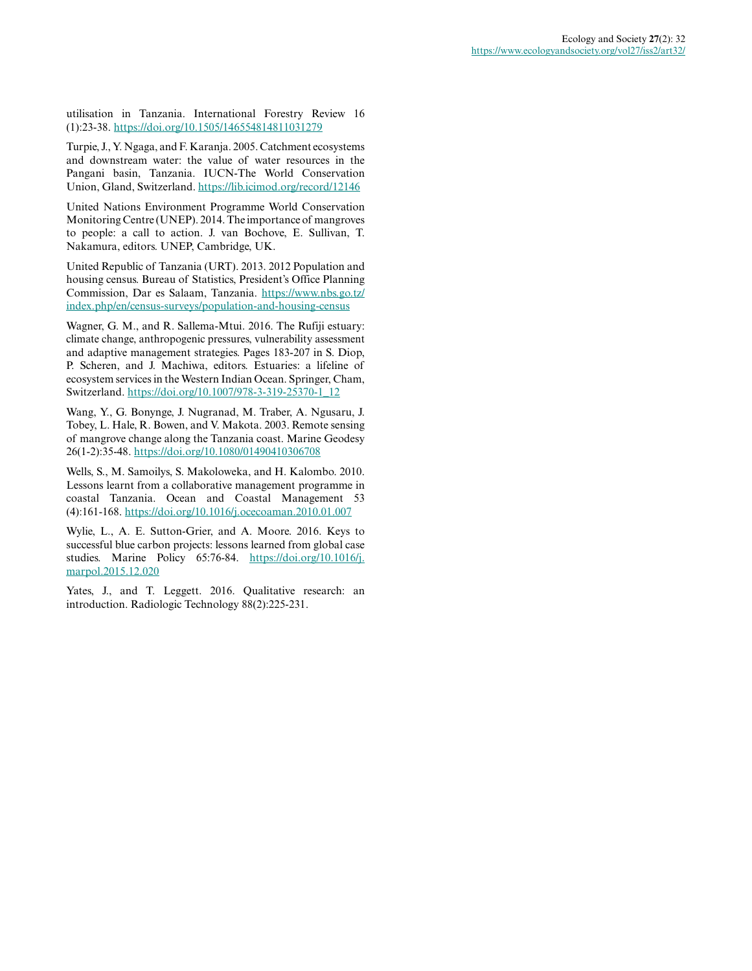utilisation in Tanzania. International Forestry Review 16 (1):23-38. <https://doi.org/10.1505/146554814811031279>

Turpie, J., Y. Ngaga, and F. Karanja. 2005. Catchment ecosystems and downstream water: the value of water resources in the Pangani basin, Tanzania. IUCN-The World Conservation Union, Gland, Switzerland.<https://lib.icimod.org/record/12146>

United Nations Environment Programme World Conservation Monitoring Centre (UNEP). 2014. The importance of mangroves to people: a call to action. J. van Bochove, E. Sullivan, T. Nakamura, editors. UNEP, Cambridge, UK.

United Republic of Tanzania (URT). 2013. 2012 Population and housing census. Bureau of Statistics, President's Office Planning Commission, Dar es Salaam, Tanzania. [https://www.nbs.go.tz/](https://www.nbs.go.tz/index.php/en/census-surveys/population-and-housing-census) [index.php/en/census-surveys/population-and-housing-census](https://www.nbs.go.tz/index.php/en/census-surveys/population-and-housing-census) 

Wagner, G. M., and R. Sallema-Mtui. 2016. The Rufiji estuary: climate change, anthropogenic pressures, vulnerability assessment and adaptive management strategies. Pages 183-207 in S. Diop, P. Scheren, and J. Machiwa, editors. Estuaries: a lifeline of ecosystem services in the Western Indian Ocean. Springer, Cham, Switzerland. [https://doi.org/10.1007/978-3-319-25370-1\\_12](https://doi.org/10.1007/978-3-319-25370-1_12) 

Wang, Y., G. Bonynge, J. Nugranad, M. Traber, A. Ngusaru, J. Tobey, L. Hale, R. Bowen, and V. Makota. 2003. Remote sensing of mangrove change along the Tanzania coast. Marine Geodesy 26(1-2):35-48.<https://doi.org/10.1080/01490410306708>

Wells, S., M. Samoilys, S. Makoloweka, and H. Kalombo. 2010. Lessons learnt from a collaborative management programme in coastal Tanzania. Ocean and Coastal Management 53 (4):161-168. <https://doi.org/10.1016/j.ocecoaman.2010.01.007>

Wylie, L., A. E. Sutton-Grier, and A. Moore. 2016. Keys to successful blue carbon projects: lessons learned from global case studies. Marine Policy 65:76-84. [https://doi.org/10.1016/j.](https://doi.org/10.1016/j.marpol.2015.12.020) [marpol.2015.12.020](https://doi.org/10.1016/j.marpol.2015.12.020) 

Yates, J., and T. Leggett. 2016. Qualitative research: an introduction. Radiologic Technology 88(2):225-231.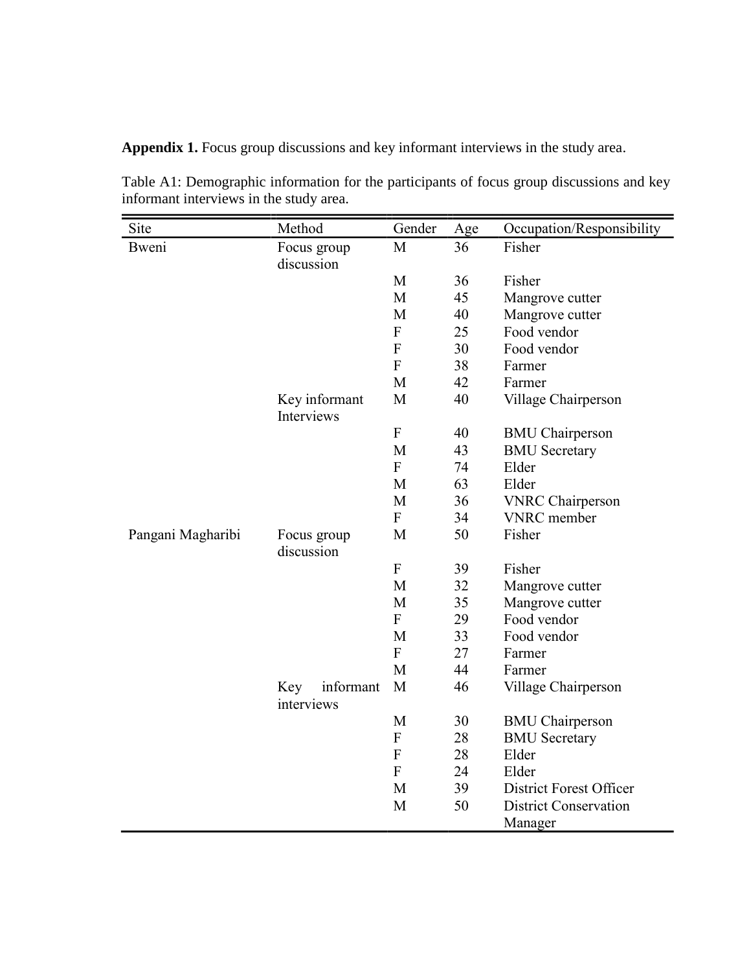**Appendix 1.** Focus group discussions and key informant interviews in the study area.

| Site              | Method                         | Gender           | Age | Occupation/Responsibility    |
|-------------------|--------------------------------|------------------|-----|------------------------------|
| Bweni             | Focus group                    | M                | 36  | Fisher                       |
|                   | discussion                     |                  |     |                              |
|                   |                                | M                | 36  | Fisher                       |
|                   |                                | M                | 45  | Mangrove cutter              |
|                   |                                | M                | 40  | Mangrove cutter              |
|                   |                                | F                | 25  | Food vendor                  |
|                   |                                | $\overline{F}$   | 30  | Food vendor                  |
|                   |                                | $\overline{F}$   | 38  | Farmer                       |
|                   |                                | M                | 42  | Farmer                       |
|                   | Key informant<br>Interviews    | M                | 40  | Village Chairperson          |
|                   |                                | ${\bf F}$        | 40  | <b>BMU</b> Chairperson       |
|                   |                                | M                | 43  | <b>BMU</b> Secretary         |
|                   |                                | $\boldsymbol{F}$ | 74  | Elder                        |
|                   |                                | M                | 63  | Elder                        |
|                   |                                | M                | 36  | <b>VNRC</b> Chairperson      |
|                   |                                | ${\bf F}$        | 34  | <b>VNRC</b> member           |
| Pangani Magharibi | Focus group<br>discussion      | M                | 50  | Fisher                       |
|                   |                                | ${\bf F}$        | 39  | Fisher                       |
|                   |                                | M                | 32  | Mangrove cutter              |
|                   |                                | M                | 35  | Mangrove cutter              |
|                   |                                | $\overline{F}$   | 29  | Food vendor                  |
|                   |                                | M                | 33  | Food vendor                  |
|                   |                                | $\overline{F}$   | 27  | Farmer                       |
|                   |                                | M                | 44  | Farmer                       |
|                   | informant<br>Key<br>interviews | M                | 46  | Village Chairperson          |
|                   |                                | M                | 30  | <b>BMU</b> Chairperson       |
|                   |                                | ${\bf F}$        | 28  | <b>BMU</b> Secretary         |
|                   |                                | ${\bf F}$        | 28  | Elder                        |
|                   |                                | ${\bf F}$        | 24  | Elder                        |
|                   |                                | M                | 39  | District Forest Officer      |
|                   |                                | M                | 50  | <b>District Conservation</b> |
|                   |                                |                  |     | Manager                      |

Table A1: Demographic information for the participants of focus group discussions and key informant interviews in the study area.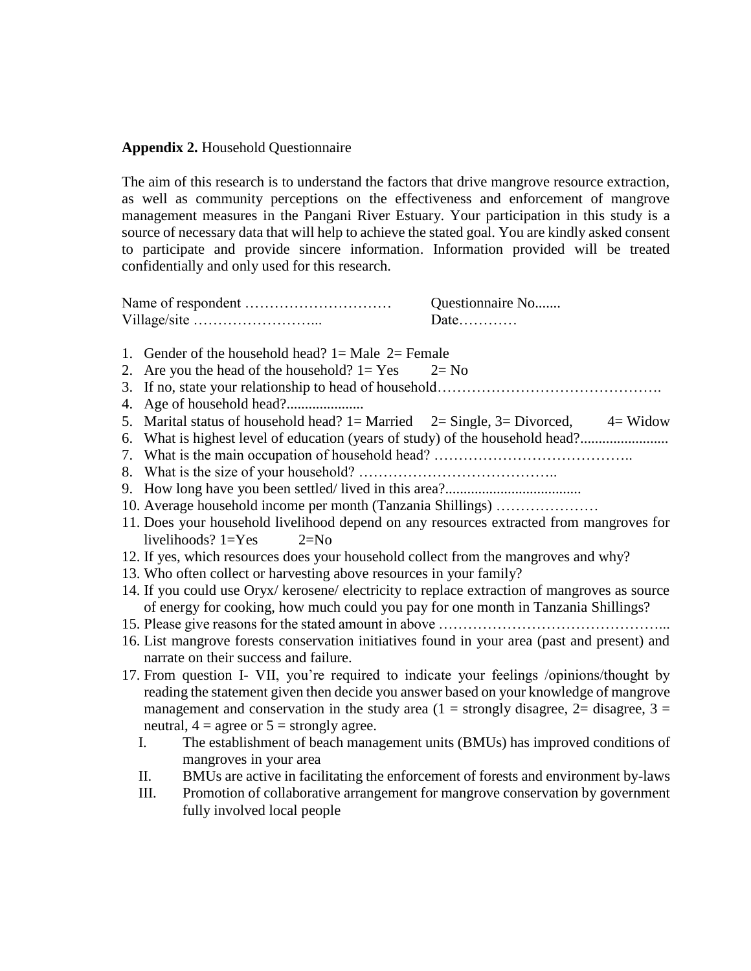# **Appendix 2.** Household Questionnaire

The aim of this research is to understand the factors that drive mangrove resource extraction, as well as community perceptions on the effectiveness and enforcement of mangrove management measures in the Pangani River Estuary. Your participation in this study is a source of necessary data that will help to achieve the stated goal. You are kindly asked consent to participate and provide sincere information. Information provided will be treated confidentially and only used for this research.

| Questionnaire No |
|------------------|
| Date             |

- 1. Gender of the household head?  $1=$  Male  $2=$  Female 2. Are you the head of the household?  $1 = Yes$   $2 = No$
- 3. If no, state your relationship to head of household……………………………………….
- 4. Age of household head?.....................
- 5. Marital status of household head?  $1=$  Married  $2=$  Single,  $3=$  Divorced,  $4=$  Widow
- 6. What is highest level of education (years of study) of the household head?........................
- 7. What is the main occupation of household head? …………………………………..
- 8. What is the size of your household? …………………………………..
- 9. How long have you been settled/ lived in this area?.....................................
- 10. Average household income per month (Tanzania Shillings) …………………
- 11. Does your household livelihood depend on any resources extracted from mangroves for livelihoods?  $1 = Yes$  2=No
- 12. If yes, which resources does your household collect from the mangroves and why?
- 13. Who often collect or harvesting above resources in your family?
- 14. If you could use Oryx/ kerosene/ electricity to replace extraction of mangroves as source of energy for cooking, how much could you pay for one month in Tanzania Shillings?
- 15. Please give reasons for the stated amount in above ………………………………………...
- 16. List mangrove forests conservation initiatives found in your area (past and present) and narrate on their success and failure.
- 17. From question I- VII, you're required to indicate your feelings /opinions/thought by reading the statement given then decide you answer based on your knowledge of mangrove management and conservation in the study area  $(1 =$  strongly disagree,  $2 =$  disagree,  $3 =$ neutral,  $4 = \text{agree or } 5 = \text{strongly agree.}$ 
	- I. The establishment of beach management units (BMUs) has improved conditions of mangroves in your area
	- II. BMUs are active in facilitating the enforcement of forests and environment by-laws
	- III. Promotion of collaborative arrangement for mangrove conservation by government fully involved local people